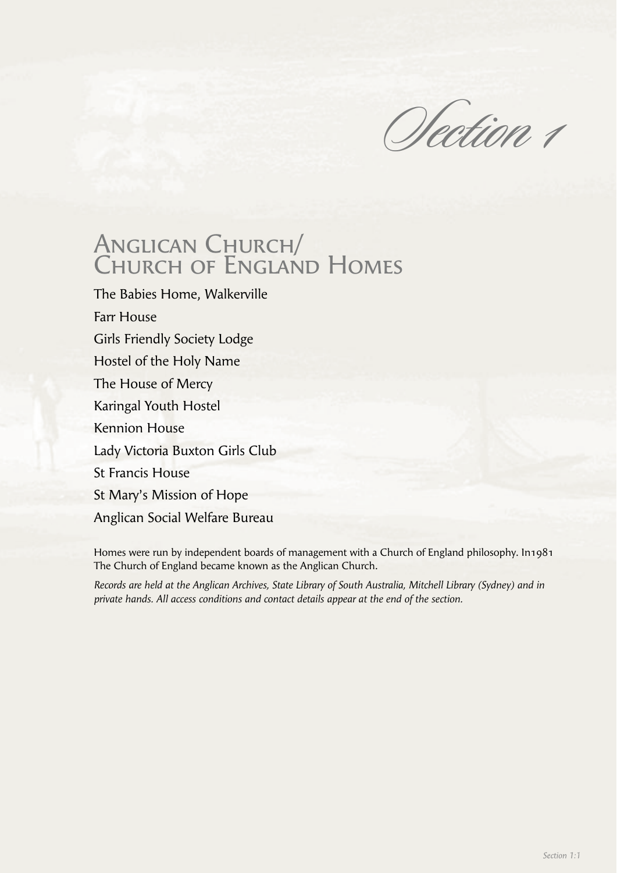Section 1

# ANGLICAN CHURCH/ Church of England Homes

The Babies Home, Walkerville Farr House Girls Friendly Society Lodge Hostel of the Holy Name The House of Mercy Karingal Youth Hostel Kennion House Lady Victoria Buxton Girls Club St Francis House St Mary's Mission of Hope Anglican Social Welfare Bureau

Homes were run by independent boards of management with a Church of England philosophy. In1981 The Church of England became known as the Anglican Church.

*Records are held at the Anglican Archives, State Library of South Australia, Mitchell Library (Sydney) and in private hands. All access conditions and contact details appear at the end of the section.*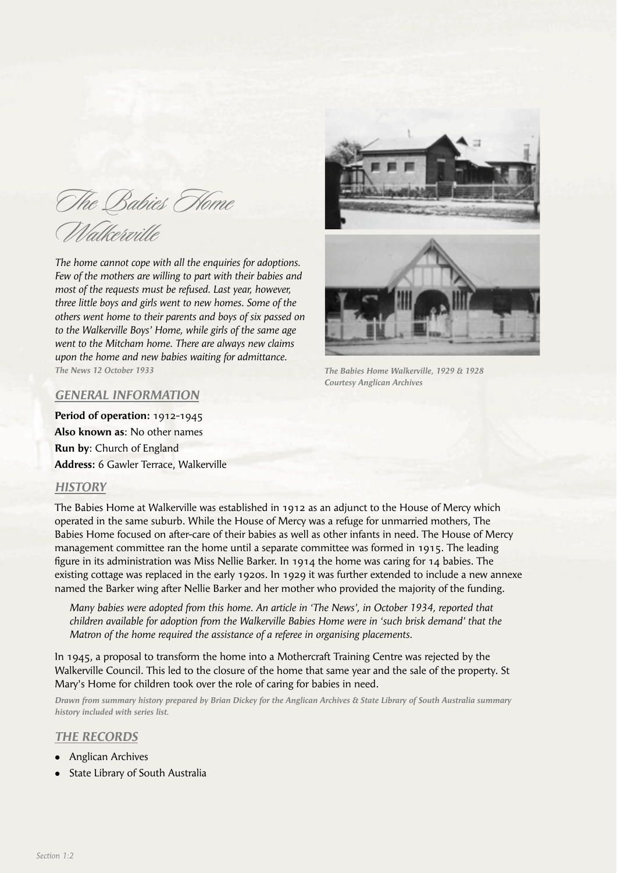The Babies Home Walkerville

*The home cannot cope with all the enquiries for adoptions. Few of the mothers are willing to part with their babies and most of the requests must be refused. Last year, however, three little boys and girls went to new homes. Some of the others went home to their parents and boys of six passed on to the Walkerville Boys' Home, while girls of the same age went to the Mitcham home. There are always new claims upon the home and new babies waiting for admittance. The News 12 October 1933*



*The Babies Home Walkerville, 1929 & 1928 Courtesy Anglican Archives*

## *GENERAL INFORMATION*

**Period of operation:** 1912-1945 **Also known as**: No other names **Run by**: Church of England **Address:** 6 Gawler Terrace, Walkerville

#### *HISTORY*

The Babies Home at Walkerville was established in 1912 as an adjunct to the House of Mercy which operated in the same suburb. While the House of Mercy was a refuge for unmarried mothers, The Babies Home focused on after-care of their babies as well as other infants in need. The House of Mercy management committee ran the home until a separate committee was formed in 1915. The leading figure in its administration was Miss Nellie Barker. In 1914 the home was caring for 14 babies. The existing cottage was replaced in the early 1920s. In 1929 it was further extended to include a new annexe named the Barker wing after Nellie Barker and her mother who provided the majority of the funding.

 *Many babies were adopted from this home. An article in 'The News', in October 1934, reported that children available for adoption from the Walkerville Babies Home were in 'such brisk demand' that the Matron of the home required the assistance of a referee in organising placements.*

In 1945, a proposal to transform the home into a Mothercraft Training Centre was rejected by the Walkerville Council. This led to the closure of the home that same year and the sale of the property. St Mary's Home for children took over the role of caring for babies in need.

*Drawn from summary history prepared by Brian Dickey for the Anglican Archives & State Library of South Australia summary history included with series list.*

#### *THE RECORDS*

- Anglican Archives
- State Library of South Australia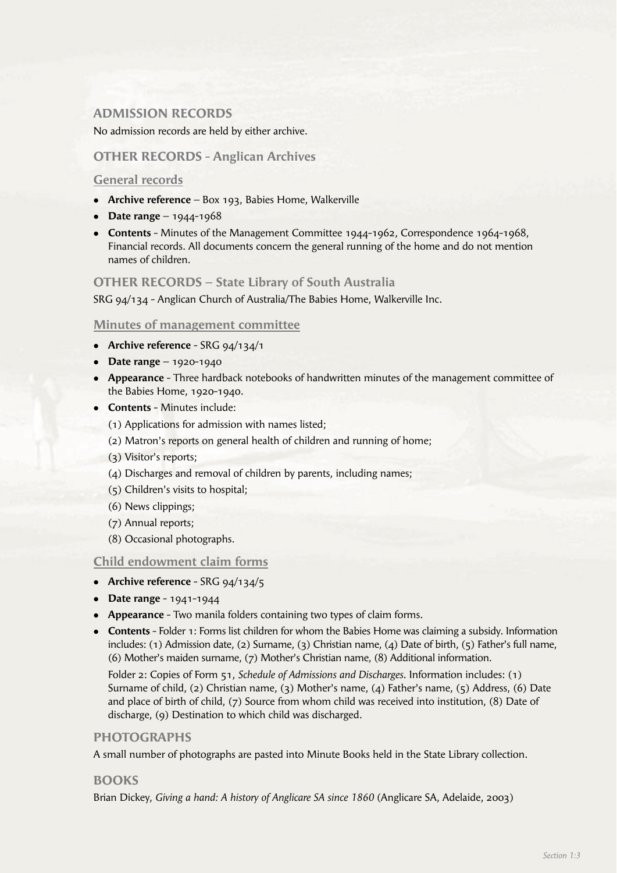# **ADMISSION RECORDS**

No admission records are held by either archive.

## **OTHER RECORDS - Anglican Archives**

#### **General records**

- **Archive reference** Box 193, Babies Home, Walkerville
- **•** Date range 1944-1968
- **Contents** Minutes of the Management Committee 1944-1962, Correspondence 1964-1968, Financial records. All documents concern the general running of the home and do not mention names of children.

#### **OTHER RECORDS – State Library of South Australia**

SRG 94/134 - Anglican Church of Australia/The Babies Home, Walkerville Inc.

#### **Minutes of management committee**

- **•** Archive reference SRG 94/134/1
- **•** Date range 1920-1940
- **Appearance** Three hardback notebooks of handwritten minutes of the management committee of the Babies Home, 1920-1940.
- **Contents** Minutes include:
	- (1) Applications for admission with names listed;
	- (2) Matron's reports on general health of children and running of home;
	- (3) Visitor's reports;
	- (4) Discharges and removal of children by parents, including names;
	- (5) Children's visits to hospital;
	- (6) News clippings;
	- (7) Annual reports;
	- (8) Occasional photographs.

#### **Child endowment claim forms**

- **•** Archive reference SRG 94/134/5
- **•** Date range 1941-1944
- **Appearance** Two manila folders containing two types of claim forms.
- **Contents** Folder 1: Forms list children for whom the Babies Home was claiming a subsidy. Information includes: (1) Admission date, (2) Surname, (3) Christian name, (4) Date of birth, (5) Father's full name, (6) Mother's maiden surname, (7) Mother's Christian name, (8) Additional information.

 Folder 2: Copies of Form 51, *Schedule of Admissions and Discharges*. Information includes: (1) Surname of child, (2) Christian name, (3) Mother's name, (4) Father's name, (5) Address, (6) Date and place of birth of child, (7) Source from whom child was received into institution, (8) Date of discharge, (9) Destination to which child was discharged.

#### **PHOTOGRAPHS**

A small number of photographs are pasted into Minute Books held in the State Library collection.

#### **BOOKS**

Brian Dickey, *Giving a hand: A history of Anglicare SA since 1860* (Anglicare SA, Adelaide, 2003)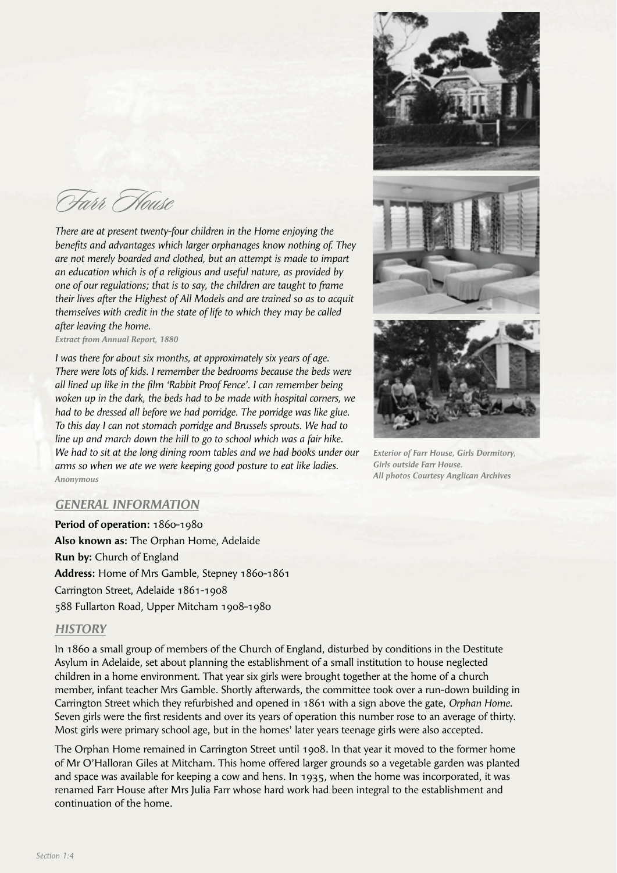Farr House

*There are at present twenty-four children in the Home enjoying the*  benefits and advantages which larger orphanages know nothing of. They *are not merely boarded and clothed, but an attempt is made to impart an education which is of a religious and useful nature, as provided by one of our regulations; that is to say, the children are taught to frame their lives after the Highest of All Models and are trained so as to acquit themselves with credit in the state of life to which they may be called after leaving the home.* 

*Extract from Annual Report, 1880*

*I was there for about six months, at approximately six years of age. There were lots of kids. I remember the bedrooms because the beds were*  all lined up like in the film 'Rabbit Proof Fence'. I can remember being *woken up in the dark, the beds had to be made with hospital corners, we had to be dressed all before we had porridge. The porridge was like glue. To this day I can not stomach porridge and Brussels sprouts. We had to line up and march down the hill to go to school which was a fair hike. We had to sit at the long dining room tables and we had books under our arms so when we ate we were keeping good posture to eat like ladies. Anonymous*



*Exterior of Farr House, Girls Dormitory, Girls outside Farr House. All photos Courtesy Anglican Archives*

#### *GENERAL INFORMATION*

**Period of operation:** 1860-1980 **Also known as:** The Orphan Home, Adelaide **Run by:** Church of England **Address:** Home of Mrs Gamble, Stepney 1860-1861 Carrington Street, Adelaide 1861-1908 588 Fullarton Road, Upper Mitcham 1908-1980

#### *HISTORY*

In 1860 a small group of members of the Church of England, disturbed by conditions in the Destitute Asylum in Adelaide, set about planning the establishment of a small institution to house neglected children in a home environment. That year six girls were brought together at the home of a church member, infant teacher Mrs Gamble. Shortly afterwards, the committee took over a run-down building in Carrington Street which they refurbished and opened in 1861 with a sign above the gate, *Orphan Home*. Seven girls were the first residents and over its years of operation this number rose to an average of thirty. Most girls were primary school age, but in the homes' later years teenage girls were also accepted.

The Orphan Home remained in Carrington Street until 1908. In that year it moved to the former home of Mr O'Halloran Giles at Mitcham. This home offered larger grounds so a vegetable garden was planted and space was available for keeping a cow and hens. In 1935, when the home was incorporated, it was renamed Farr House after Mrs Julia Farr whose hard work had been integral to the establishment and continuation of the home.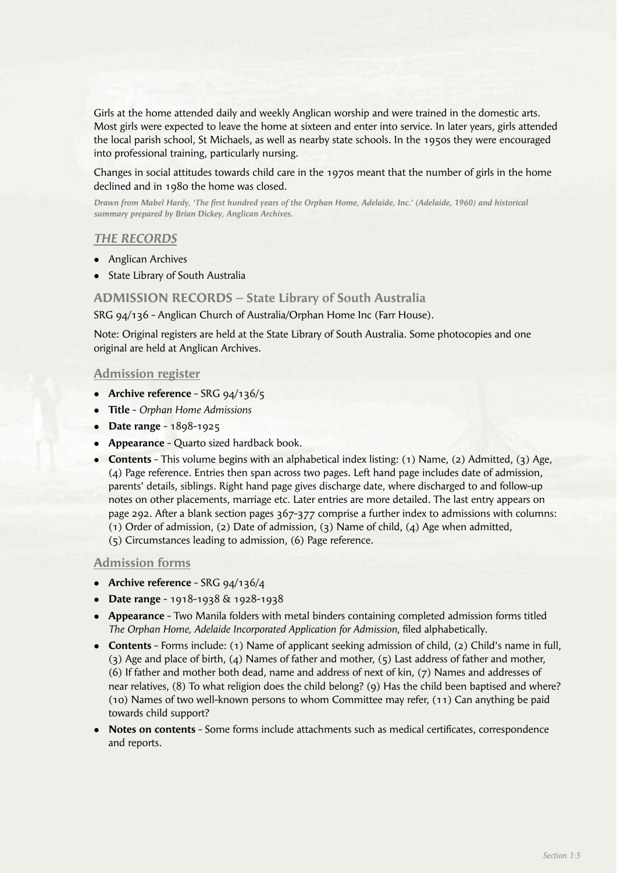Girls at the home attended daily and weekly Anglican worship and were trained in the domestic arts. Most girls were expected to leave the home at sixteen and enter into service. In later years, girls attended the local parish school, St Michaels, as well as nearby state schools. In the 1950s they were encouraged into professional training, particularly nursing.

Changes in social attitudes towards child care in the 1970s meant that the number of girls in the home declined and in 1980 the home was closed.

*Drawn from Mabel Hardy, 'The first hundred years of the Orphan Home, Adelaide, Inc.' (Adelaide, 1960) and historical summary prepared by Brian Dickey, Anglican Archives.*

## *THE RECORDS*

- Anglican Archives
- $\bullet$  State Library of South Australia

**ADMISSION RECORDS – State Library of South Australia**

SRG 94/136 - Anglican Church of Australia/Orphan Home Inc (Farr House).

Note: Original registers are held at the State Library of South Australia. Some photocopies and one original are held at Anglican Archives.

#### **Admission register**

- **Archive reference** SRG 94/136/5
- <sup>l</sup>**Title** *Orphan Home Admissions*
- **•** Date range 1898-1925
- **Appearance** Quarto sized hardback book.
- **Contents** This volume begins with an alphabetical index listing: (1) Name, (2) Admitted, (3) Age, (4) Page reference. Entries then span across two pages. Left hand page includes date of admission, parents' details, siblings. Right hand page gives discharge date, where discharged to and follow-up notes on other placements, marriage etc. Later entries are more detailed. The last entry appears on page 292. After a blank section pages 367-377 comprise a further index to admissions with columns: (1) Order of admission, (2) Date of admission, (3) Name of child, (4) Age when admitted, (5) Circumstances leading to admission, (6) Page reference.

#### **Admission forms**

- **Archive reference** SRG 94/136/4
- <sup>l</sup>**Date range** 1918-1938 & 1928-1938
- **Appearance** Two Manila folders with metal binders containing completed admission forms titled *The Orphan Home, Adelaide Incorporated Application for Admission*, filed alphabetically.
- **Contents** Forms include: (1) Name of applicant seeking admission of child, (2) Child's name in full, (3) Age and place of birth, (4) Names of father and mother, (5) Last address of father and mother, (6) If father and mother both dead, name and address of next of kin, (7) Names and addresses of near relatives, (8) To what religion does the child belong? (9) Has the child been baptised and where? (10) Names of two well-known persons to whom Committee may refer, (11) Can anything be paid towards child support?
- **Notes on contents** Some forms include attachments such as medical certificates, correspondence and reports.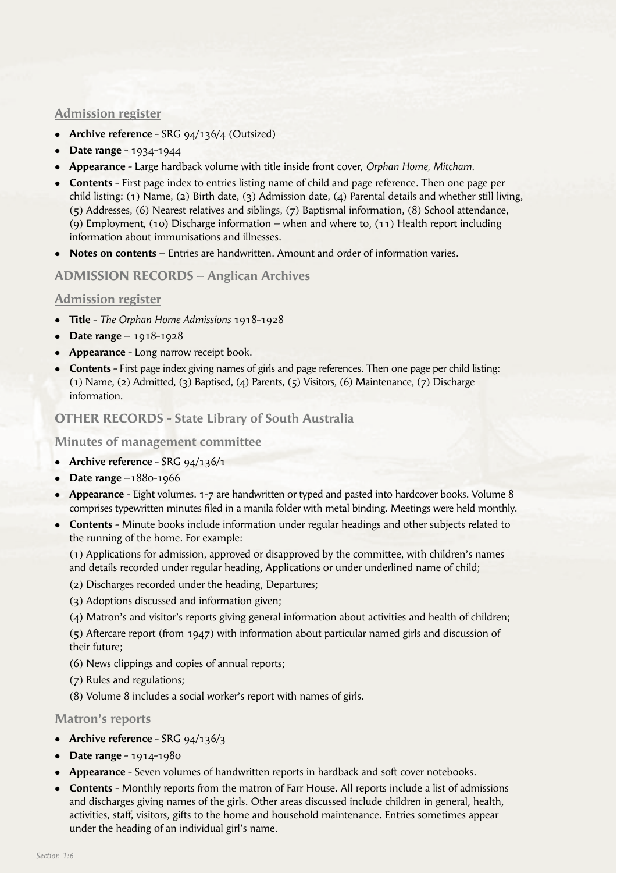## **Admission register**

- **Archive reference** SRG 94/136/4 (Outsized)
- **•** Date range 1934-1944
- <sup>l</sup>**Appearance** Large hardback volume with title inside front cover, *Orphan Home, Mitcham.*
- **Contents** First page index to entries listing name of child and page reference. Then one page per child listing: (1) Name, (2) Birth date, (3) Admission date, (4) Parental details and whether still living, (5) Addresses, (6) Nearest relatives and siblings, (7) Baptismal information, (8) School attendance, (9) Employment, (10) Discharge information – when and where to, (11) Health report including information about immunisations and illnesses.
- **Notes on contents** Entries are handwritten. Amount and order of information varies.

## **ADMISSION RECORDS – Anglican Archives**

## **Admission register**

- <sup>l</sup>**Title** *The Orphan Home Admissions* 1918-1928
- <sup>l</sup>**Date range** 1918-1928
- **Appearance** Long narrow receipt book.
- **Contents** First page index giving names of girls and page references. Then one page per child listing: (1) Name, (2) Admitted, (3) Baptised, (4) Parents, (5) Visitors, (6) Maintenance, (7) Discharge information.

## **OTHER RECORDS - State Library of South Australia**

#### **Minutes of management committee**

- **Archive reference** SRG 94/136/1
- **•** Date range –1880-1966
- **Appearance** Eight volumes. 1-7 are handwritten or typed and pasted into hardcover books. Volume 8 comprises typewritten minutes filed in a manila folder with metal binding. Meetings were held monthly.
- **Contents** Minute books include information under regular headings and other subjects related to the running of the home. For example:

 (1) Applications for admission, approved or disapproved by the committee, with children's names and details recorded under regular heading, Applications or under underlined name of child;

- (2) Discharges recorded under the heading, Departures;
- (3) Adoptions discussed and information given;
- (4) Matron's and visitor's reports giving general information about activities and health of children;

 (5) Aftercare report (from 1947) with information about particular named girls and discussion of their future;

- (6) News clippings and copies of annual reports;
- (7) Rules and regulations;
- (8) Volume 8 includes a social worker's report with names of girls.

#### **Matron's reports**

- **•** Archive reference SRG 94/136/3
- **•** Date range 1914-1980
- <sup>l</sup>**Appearance** Seven volumes of handwritten reports in hardback and soft cover notebooks.
- **Contents** Monthly reports from the matron of Farr House. All reports include a list of admissions and discharges giving names of the girls. Other areas discussed include children in general, health, activities, staff, visitors, gifts to the home and household maintenance. Entries sometimes appear under the heading of an individual girl's name.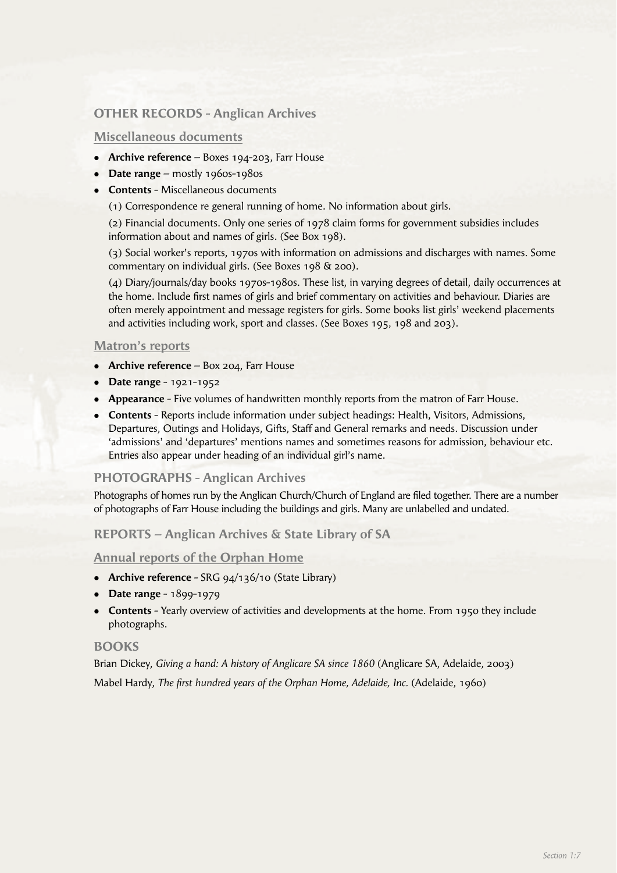# **OTHER RECORDS - Anglican Archives**

#### **Miscellaneous documents**

- **Archive reference** Boxes 194-203, Farr House
- **Date range** mostly 1960s-1980s
- **Contents** Miscellaneous documents
	- (1) Correspondence re general running of home. No information about girls.

 (2) Financial documents. Only one series of 1978 claim forms for government subsidies includes information about and names of girls. (See Box 198).

 (3) Social worker's reports, 1970s with information on admissions and discharges with names. Some commentary on individual girls. (See Boxes 198 & 200).

 (4) Diary/journals/day books 1970s-1980s. These list, in varying degrees of detail, daily occurrences at the home. Include first names of girls and brief commentary on activities and behaviour. Diaries are often merely appointment and message registers for girls. Some books list girls' weekend placements and activities including work, sport and classes. (See Boxes 195, 198 and 203).

#### **Matron's reports**

- **Archive reference** Box 204, Farr House
- **•** Date range 1921-1952
- **Appearance** Five volumes of handwritten monthly reports from the matron of Farr House.
- **Contents** Reports include information under subject headings: Health, Visitors, Admissions, Departures, Outings and Holidays, Gifts, Staff and General remarks and needs. Discussion under 'admissions' and 'departures' mentions names and sometimes reasons for admission, behaviour etc. Entries also appear under heading of an individual girl's name.

## **PHOTOGRAPHS - Anglican Archives**

Photographs of homes run by the Anglican Church/Church of England are filed together. There are a number of photographs of Farr House including the buildings and girls. Many are unlabelled and undated.

**REPORTS – Anglican Archives & State Library of SA**

#### **Annual reports of the Orphan Home**

- **•** Archive reference SRG 94/136/10 (State Library)
- **•** Date range 1899-1979
- **Contents** Yearly overview of activities and developments at the home. From 1950 they include photographs.

#### **BOOKS**

Brian Dickey, *Giving a hand: A history of Anglicare SA since 1860* (Anglicare SA, Adelaide, 2003) Mabel Hardy, *The first hundred years of the Orphan Home, Adelaide, Inc.* (Adelaide, 1960)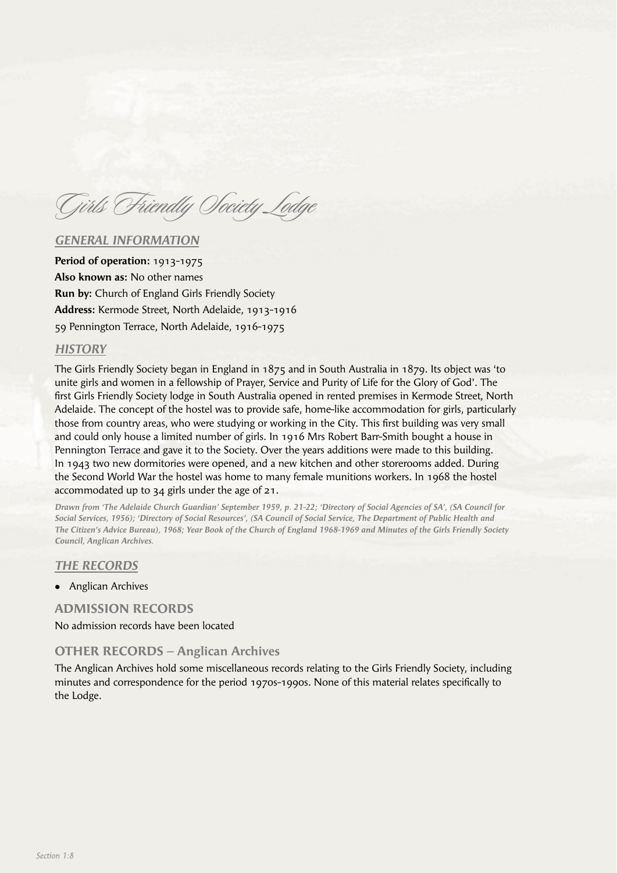Girls Friendly Society Lodge

#### *GENERAL INFORMATION*

**Period of operation:** 1913-1975 **Also known as:** No other names **Run by:** Church of England Girls Friendly Society **Address:** Kermode Street, North Adelaide, 1913-1916 59 Pennington Terrace, North Adelaide, 1916-1975

#### *HISTORY*

The Girls Friendly Society began in England in 1875 and in South Australia in 1879. Its object was 'to unite girls and women in a fellowship of Prayer, Service and Purity of Life for the Glory of God'. The first Girls Friendly Society lodge in South Australia opened in rented premises in Kermode Street, North Adelaide. The concept of the hostel was to provide safe, home-like accommodation for girls, particularly those from country areas, who were studying or working in the City. This first building was very small and could only house a limited number of girls. In 1916 Mrs Robert Barr-Smith bought a house in Pennington Terrace and gave it to the Society. Over the years additions were made to this building. In 1943 two new dormitories were opened, and a new kitchen and other storerooms added. During the Second World War the hostel was home to many female munitions workers. In 1968 the hostel accommodated up to 34 girls under the age of 21.

*Drawn from 'The Adelaide Church Guardian' September 1959, p. 21-22; 'Directory of Social Agencies of SA', (SA Council for Social Services, 1956); 'Directory of Social Resources', (SA Council of Social Service, The Department of Public Health and The Citizen's Advice Bureau), 1968; Year Book of the Church of England 1968-1969 and Minutes of the Girls Friendly Society Council, Anglican Archives.*

#### *THE RECORDS*

• Anglican Archives

#### **ADMISSION RECORDS**

No admission records have been located

#### **OTHER RECORDS – Anglican Archives**

The Anglican Archives hold some miscellaneous records relating to the Girls Friendly Society, including minutes and correspondence for the period 1970s-1990s. None of this material relates specifically to the Lodge.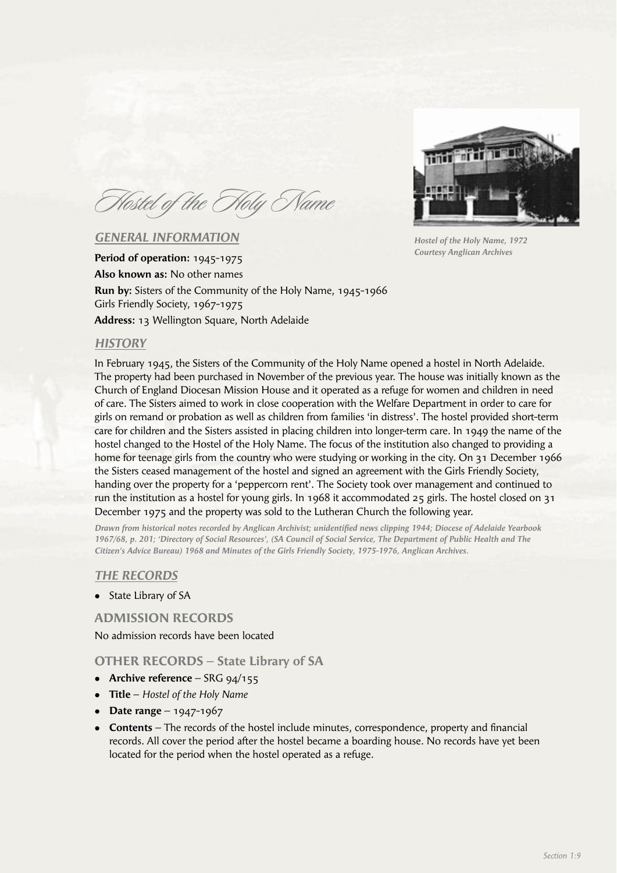Hostel of the Holy Name

## *GENERAL INFORMATION*

**Period of operation:** 1945-1975 **Also known as:** No other names **Run by:** Sisters of the Community of the Holy Name, 1945-1966 Girls Friendly Society, 1967-1975 **Address:** 13 Wellington Square, North Adelaide

## *HISTORY*

In February 1945, the Sisters of the Community of the Holy Name opened a hostel in North Adelaide. The property had been purchased in November of the previous year. The house was initially known as the Church of England Diocesan Mission House and it operated as a refuge for women and children in need of care. The Sisters aimed to work in close cooperation with the Welfare Department in order to care for girls on remand or probation as well as children from families 'in distress'. The hostel provided short-term care for children and the Sisters assisted in placing children into longer-term care. In 1949 the name of the hostel changed to the Hostel of the Holy Name. The focus of the institution also changed to providing a home for teenage girls from the country who were studying or working in the city. On 31 December 1966 the Sisters ceased management of the hostel and signed an agreement with the Girls Friendly Society, handing over the property for a 'peppercorn rent'. The Society took over management and continued to run the institution as a hostel for young girls. In 1968 it accommodated 25 girls. The hostel closed on 31 December 1975 and the property was sold to the Lutheran Church the following year.

*Drawn from historical notes recorded by Anglican Archivist; unidentifi ed news clipping 1944; Diocese of Adelaide Yearbook 1967/68, p. 201; 'Directory of Social Resources', (SA Council of Social Service, The Department of Public Health and The Citizen's Advice Bureau) 1968 and Minutes of the Girls Friendly Society, 1975-1976, Anglican Archives.*

#### *THE RECORDS*

State Library of SA

## **ADMISSION RECORDS**

No admission records have been located

#### **OTHER RECORDS – State Library of SA**

- **•** Archive reference SRG 94/155
- **Title** *Hostel of the Holy Name*
- **•** Date range 1947-1967
- **Contents** The records of the hostel include minutes, correspondence, property and financial records. All cover the period after the hostel became a boarding house. No records have yet been located for the period when the hostel operated as a refuge.



*Hostel of the Holy Name, 1972 Courtesy Anglican Archives*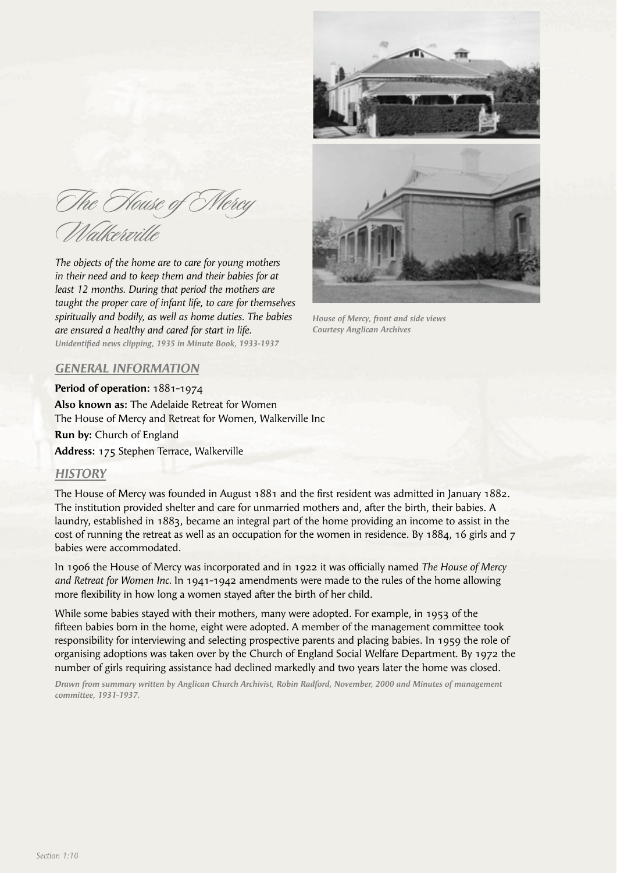The House of O. Walkerville

*The objects of the home are to care for young mothers in their need and to keep them and their babies for at least 12 months. During that period the mothers are taught the proper care of infant life, to care for themselves spiritually and bodily, as well as home duties. The babies are ensured a healthy and cared for start in life.*  Unidentified news clipping, 1935 in Minute Book, 1933-1937



*House of Mercy, front and side views Courtesy Anglican Archives*

## *GENERAL INFORMATION*

**Period of operation:** 1881-1974

**Also known as:** The Adelaide Retreat for Women The House of Mercy and Retreat for Women, Walkerville Inc

**Run by:** Church of England

**Address:** 175 Stephen Terrace, Walkerville

#### *HISTORY*

The House of Mercy was founded in August 1881 and the first resident was admitted in January 1882. The institution provided shelter and care for unmarried mothers and, after the birth, their babies. A laundry, established in 1883, became an integral part of the home providing an income to assist in the cost of running the retreat as well as an occupation for the women in residence. By 1884, 16 girls and 7 babies were accommodated.

In 1906 the House of Mercy was incorporated and in 1922 it was officially named *The House of Mercy and Retreat for Women Inc.* In 1941-1942 amendments were made to the rules of the home allowing more flexibility in how long a women stayed after the birth of her child.

While some babies stayed with their mothers, many were adopted. For example, in 1953 of the fifteen babies born in the home, eight were adopted. A member of the management committee took responsibility for interviewing and selecting prospective parents and placing babies. In 1959 the role of organising adoptions was taken over by the Church of England Social Welfare Department. By 1972 the number of girls requiring assistance had declined markedly and two years later the home was closed.

*Drawn from summary written by Anglican Church Archivist, Robin Radford, November, 2000 and Minutes of management committee, 1931-1937.*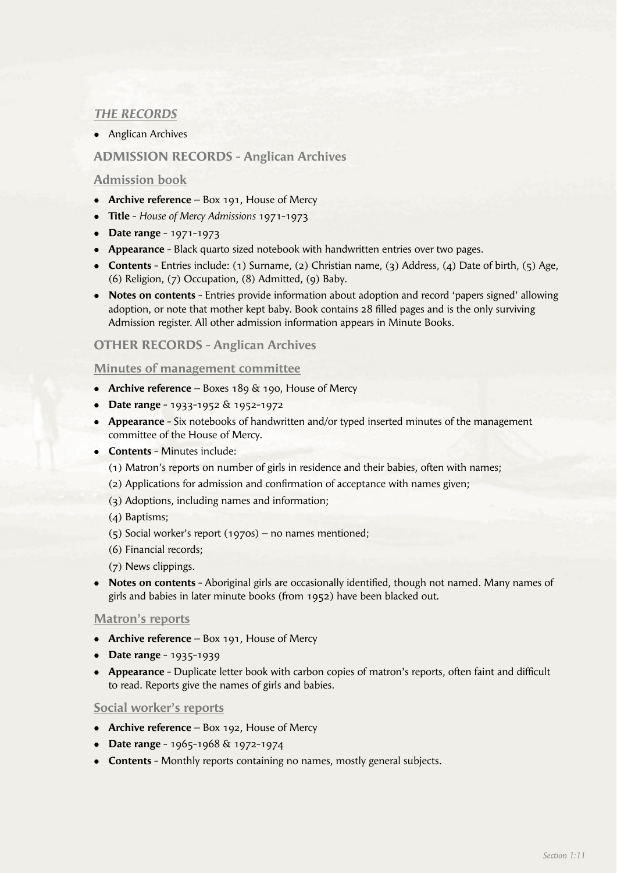# *THE RECORDS*

• Anglican Archives

# **ADMISSION RECORDS - Anglican Archives**

## **Admission book**

- **Archive reference** Box 191, House of Mercy
- <sup>l</sup>**Title** *House of Mercy Admissions* 1971-1973
- **•** Date range 1971-1973
- **Appearance** Black quarto sized notebook with handwritten entries over two pages.
- **Contents** Entries include: (1) Surname, (2) Christian name, (3) Address, (4) Date of birth, (5) Age, (6) Religion, (7) Occupation, (8) Admitted, (9) Baby.
- **•** Notes on contents Entries provide information about adoption and record 'papers signed' allowing adoption, or note that mother kept baby. Book contains 28 filled pages and is the only surviving Admission register. All other admission information appears in Minute Books.

## **OTHER RECORDS - Anglican Archives**

#### **Minutes of management committee**

- **-** Archive reference Boxes 189 & 190, House of Mercy
- **Date range** 1933-1952 & 1952-1972
- **Appearance** Six notebooks of handwritten and/or typed inserted minutes of the management committee of the House of Mercy.
- **Contents** Minutes include:
	- (1) Matron's reports on number of girls in residence and their babies, often with names;
	- (2) Applications for admission and confirmation of acceptance with names given;
	- (3) Adoptions, including names and information;
	- (4) Baptisms;
	- (5) Social worker's report (1970s) no names mentioned;
	- (6) Financial records;
	- (7) News clippings.
- **Notes on contents** Aboriginal girls are occasionally identified, though not named. Many names of girls and babies in later minute books (from 1952) have been blacked out.

#### **Matron's reports**

- **Archive reference** Box 191, House of Mercy
- **•** Date range 1935-1939
- **Appearance** Duplicate letter book with carbon copies of matron's reports, often faint and difficult to read. Reports give the names of girls and babies.

#### **Social worker's reports**

- **Archive reference** Box 192, House of Mercy
- **Date range** 1965-1968 & 1972-1974
- **Contents** Monthly reports containing no names, mostly general subjects.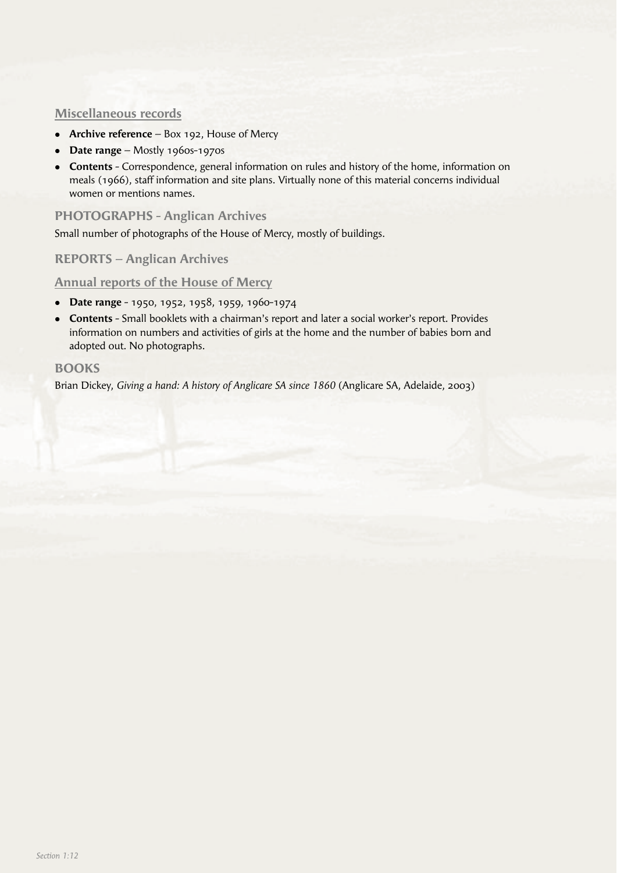## **Miscellaneous records**

- **Archive reference** Box 192, House of Mercy
- **Date range** Mostly 1960s-1970s
- **Contents** Correspondence, general information on rules and history of the home, information on meals (1966), staff information and site plans. Virtually none of this material concerns individual women or mentions names.

## **PHOTOGRAPHS - Anglican Archives**

Small number of photographs of the House of Mercy, mostly of buildings.

## **REPORTS – Anglican Archives**

#### **Annual reports of the House of Mercy**

- <sup>l</sup>**Date range** 1950, 1952, 1958, 1959, 1960-1974
- **Contents** Small booklets with a chairman's report and later a social worker's report. Provides information on numbers and activities of girls at the home and the number of babies born and adopted out. No photographs.

## **BOOKS**

Brian Dickey, *Giving a hand: A history of Anglicare SA since 1860* (Anglicare SA, Adelaide, 2003)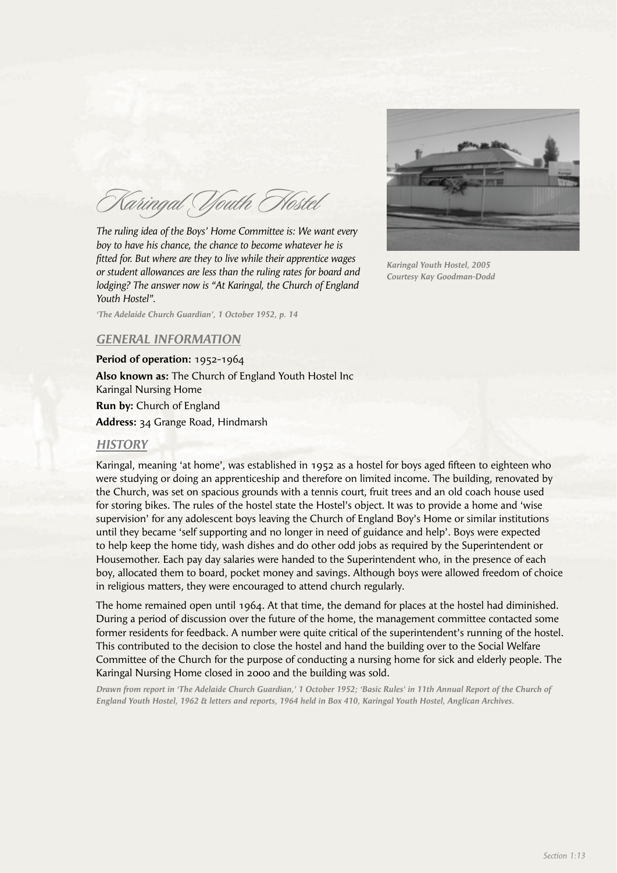Karingal Youth Hostel

*The ruling idea of the Boys' Home Committee is: We want every boy to have his chance, the chance to become whatever he is fi tted for. But where are they to live while their apprentice wages or student allowances are less than the ruling rates for board and lodging? The answer now is "At Karingal, the Church of England Youth Hostel".*



*Karingal Youth Hostel, 2005 Courtesy Kay Goodman-Dodd*

*'The Adelaide Church Guardian', 1 October 1952, p. 14*

# *GENERAL INFORMATION*

**Period of operation:** 1952-1964 **Also known as:** The Church of England Youth Hostel Inc Karingal Nursing Home **Run by:** Church of England **Address:** 34 Grange Road, Hindmarsh

## *HISTORY*

Karingal, meaning 'at home', was established in 1952 as a hostel for boys aged fifteen to eighteen who were studying or doing an apprenticeship and therefore on limited income. The building, renovated by the Church, was set on spacious grounds with a tennis court, fruit trees and an old coach house used for storing bikes. The rules of the hostel state the Hostel's object. It was to provide a home and 'wise supervision' for any adolescent boys leaving the Church of England Boy's Home or similar institutions until they became 'self supporting and no longer in need of guidance and help'. Boys were expected to help keep the home tidy, wash dishes and do other odd jobs as required by the Superintendent or Housemother. Each pay day salaries were handed to the Superintendent who, in the presence of each boy, allocated them to board, pocket money and savings. Although boys were allowed freedom of choice in religious matters, they were encouraged to attend church regularly.

The home remained open until 1964. At that time, the demand for places at the hostel had diminished. During a period of discussion over the future of the home, the management committee contacted some former residents for feedback. A number were quite critical of the superintendent's running of the hostel. This contributed to the decision to close the hostel and hand the building over to the Social Welfare Committee of the Church for the purpose of conducting a nursing home for sick and elderly people. The Karingal Nursing Home closed in 2000 and the building was sold.

*Drawn from report in 'The Adelaide Church Guardian,' 1 October 1952; 'Basic Rules' in 11th Annual Report of the Church of England Youth Hostel, 1962 & letters and reports, 1964 held in Box 410, Karingal Youth Hostel, Anglican Archives.*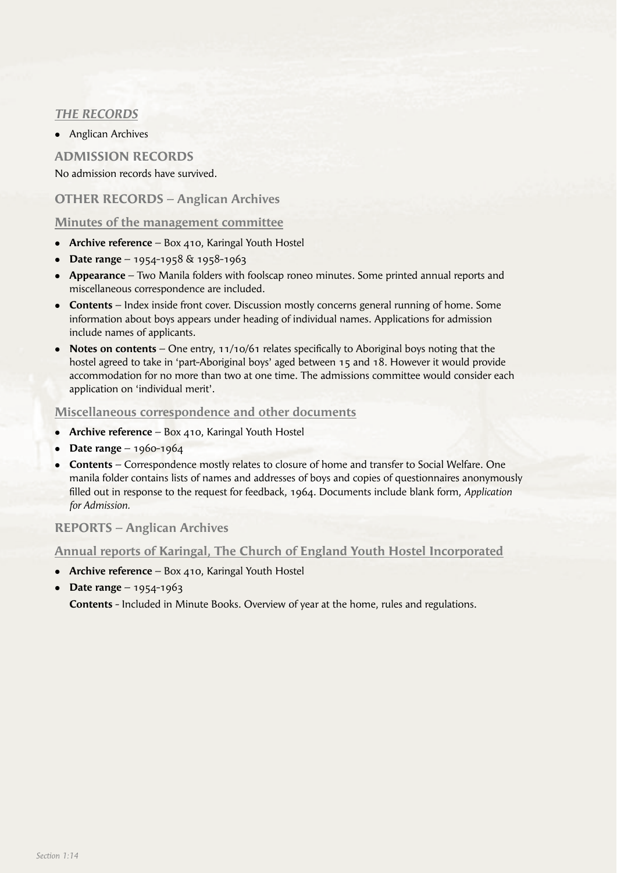# *THE RECORDS*

• Anglican Archives

# **ADMISSION RECORDS** No admission records have survived.

# **OTHER RECORDS – Anglican Archives**

## **Minutes of the management committee**

- **Archive reference** Box 410, Karingal Youth Hostel
- **Date range** 1954-1958 & 1958-1963
- <sup>l</sup>**Appearance** Two Manila folders with foolscap roneo minutes. Some printed annual reports and miscellaneous correspondence are included.
- **Contents** Index inside front cover. Discussion mostly concerns general running of home. Some information about boys appears under heading of individual names. Applications for admission include names of applicants.
- **Notes on contents** One entry, 11/10/61 relates specifically to Aboriginal boys noting that the hostel agreed to take in 'part-Aboriginal boys' aged between 15 and 18. However it would provide accommodation for no more than two at one time. The admissions committee would consider each application on 'individual merit'.

#### **Miscellaneous correspondence and other documents**

- **Archive reference** Box 410, Karingal Youth Hostel
- **•** Date range 1960-1964
- **Contents** Correspondence mostly relates to closure of home and transfer to Social Welfare. One manila folder contains lists of names and addresses of boys and copies of questionnaires anonymously filled out in response to the request for feedback, 1964. Documents include blank form, Application *for Admission.*

# **REPORTS – Anglican Archives**

## **Annual reports of Karingal, The Church of England Youth Hostel Incorporated**

- **Archive reference** Box 410, Karingal Youth Hostel
- **•** Date range 1954-1963

 **Contents** - Included in Minute Books. Overview of year at the home, rules and regulations.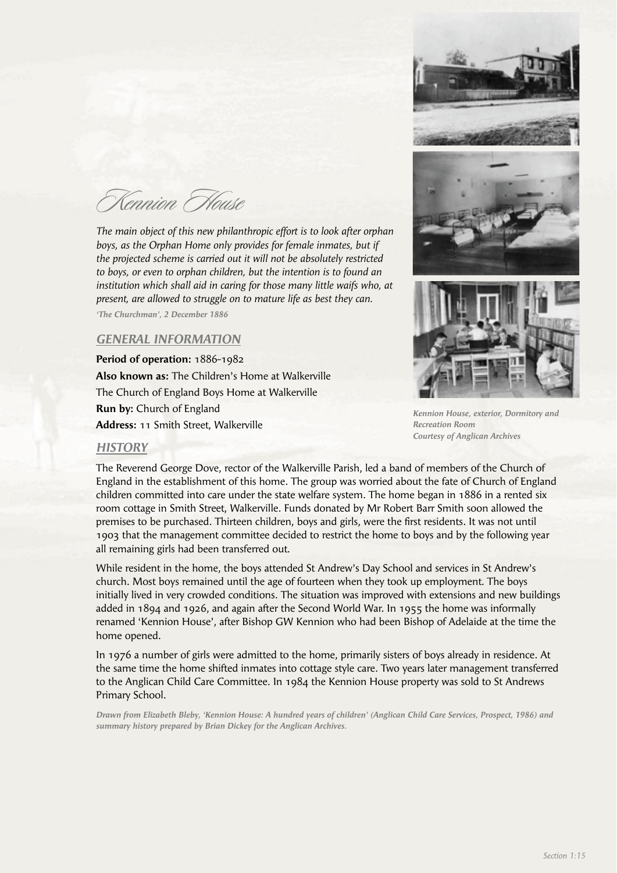Kennion House

*The main object of this new philanthropic effort is to look after orphan boys, as the Orphan Home only provides for female inmates, but if the projected scheme is carried out it will not be absolutely restricted to boys, or even to orphan children, but the intention is to found an institution which shall aid in caring for those many little waifs who, at present, are allowed to struggle on to mature life as best they can.* 

*'The Churchman', 2 December 1886*

## *GENERAL INFORMATION*

**Period of operation:** 1886-1982 **Also known as:** The Children's Home at Walkerville The Church of England Boys Home at Walkerville **Run by:** Church of England **Address:** 11 Smith Street, Walkerville



*Kennion House, exterior, Dormitory and Recreation Room Courtesy of Anglican Archives*

#### *HISTORY*

The Reverend George Dove, rector of the Walkerville Parish, led a band of members of the Church of England in the establishment of this home. The group was worried about the fate of Church of England children committed into care under the state welfare system. The home began in 1886 in a rented six room cottage in Smith Street, Walkerville. Funds donated by Mr Robert Barr Smith soon allowed the premises to be purchased. Thirteen children, boys and girls, were the first residents. It was not until 1903 that the management committee decided to restrict the home to boys and by the following year all remaining girls had been transferred out.

While resident in the home, the boys attended St Andrew's Day School and services in St Andrew's church. Most boys remained until the age of fourteen when they took up employment. The boys initially lived in very crowded conditions. The situation was improved with extensions and new buildings added in 1894 and 1926, and again after the Second World War. In 1955 the home was informally renamed 'Kennion House', after Bishop GW Kennion who had been Bishop of Adelaide at the time the home opened.

In 1976 a number of girls were admitted to the home, primarily sisters of boys already in residence. At the same time the home shifted inmates into cottage style care. Two years later management transferred to the Anglican Child Care Committee. In 1984 the Kennion House property was sold to St Andrews Primary School.

*Drawn from Elizabeth Bleby, 'Kennion House: A hundred years of children' (Anglican Child Care Services, Prospect, 1986) and summary history prepared by Brian Dickey for the Anglican Archives.*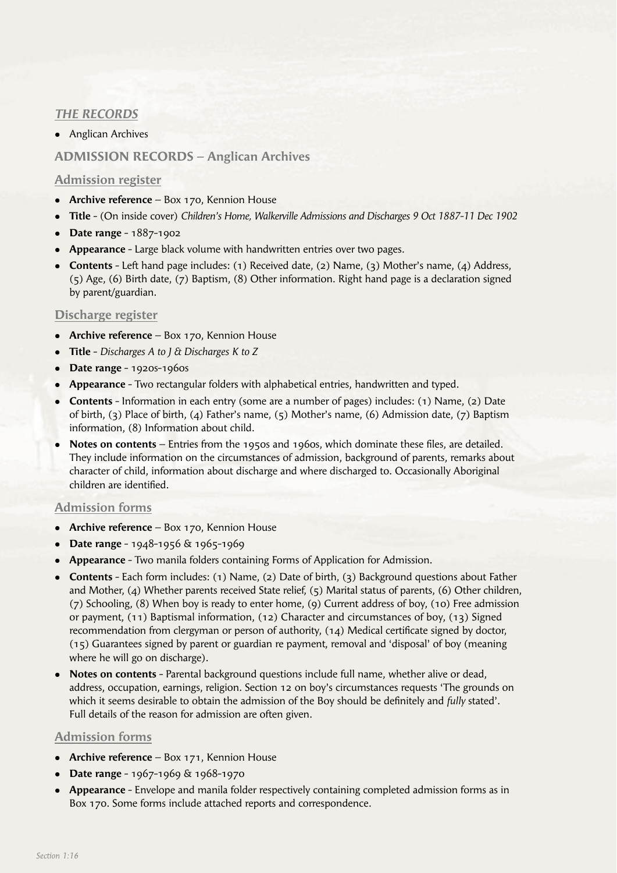# *THE RECORDS*

• Anglican Archives

# **ADMISSION RECORDS – Anglican Archives**

## **Admission register**

- **Archive reference** Box 170, Kennion House
- <sup>l</sup>**Title** (On inside cover) *Children's Home, Walkerville Admissions and Discharges 9 Oct 1887-11 Dec 1902*
- <sup>l</sup>**Date range** 1887-1902
- **Appearance** Large black volume with handwritten entries over two pages.
- <sup>l</sup>**Contents** Left hand page includes: (1) Received date, (2) Name, (3) Mother's name, (4) Address, (5) Age, (6) Birth date, (7) Baptism, (8) Other information. Right hand page is a declaration signed by parent/guardian.

## **Discharge register**

- **Archive reference** Box 170, Kennion House
- <sup>l</sup>**Title** *Discharges A to J & Discharges K to Z*
- <sup>l</sup>**Date range** 1920s-1960s
- **Appearance** Two rectangular folders with alphabetical entries, handwritten and typed.
- **Contents** Information in each entry (some are a number of pages) includes: (1) Name, (2) Date of birth, (3) Place of birth, (4) Father's name, (5) Mother's name, (6) Admission date, (7) Baptism information, (8) Information about child.
- Notes on contents Entries from the 1950s and 1960s, which dominate these files, are detailed. They include information on the circumstances of admission, background of parents, remarks about character of child, information about discharge and where discharged to. Occasionally Aboriginal children are identified

## **Admission forms**

- **Archive reference** Box 170, Kennion House
- **Date range** 1948-1956 & 1965-1969
- **Appearance** Two manila folders containing Forms of Application for Admission.
- **Contents** Each form includes: (1) Name, (2) Date of birth, (3) Background questions about Father and Mother, (4) Whether parents received State relief, (5) Marital status of parents, (6) Other children, (7) Schooling, (8) When boy is ready to enter home, (9) Current address of boy, (10) Free admission or payment, (11) Baptismal information, (12) Character and circumstances of boy, (13) Signed recommendation from clergyman or person of authority,  $(14)$  Medical certificate signed by doctor, (15) Guarantees signed by parent or guardian re payment, removal and 'disposal' of boy (meaning where he will go on discharge).
- **Notes on contents** Parental background questions include full name, whether alive or dead, address, occupation, earnings, religion. Section 12 on boy's circumstances requests 'The grounds on which it seems desirable to obtain the admission of the Boy should be definitely and *fully* stated'. Full details of the reason for admission are often given.

## **Admission forms**

- **Archive reference** Box 171, Kennion House
- **Date range** 1967-1969 & 1968-1970
- **Appearance** Envelope and manila folder respectively containing completed admission forms as in Box 170. Some forms include attached reports and correspondence.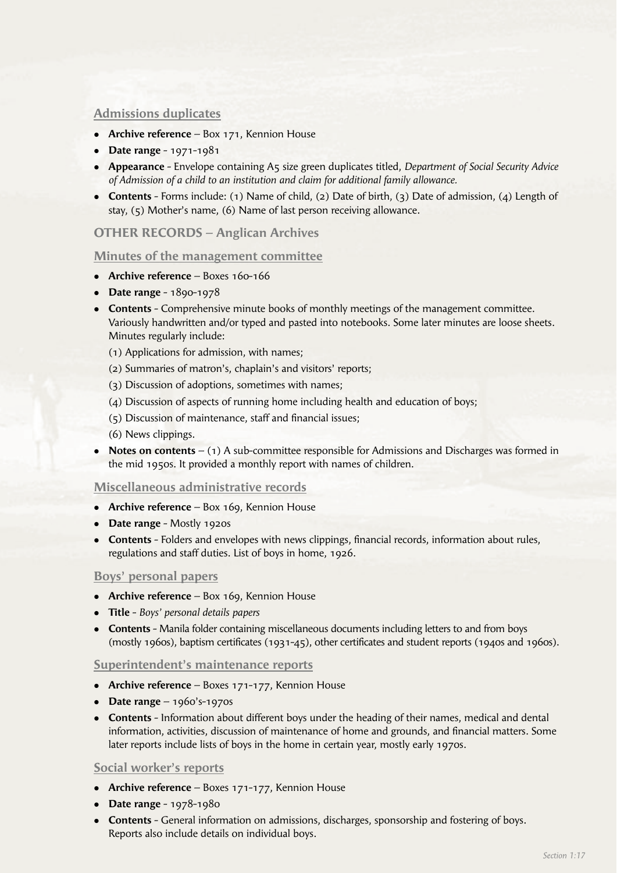## **Admissions duplicates**

- **Archive reference** Box 171, Kennion House
- <sup>l</sup>**Date range** 1971-1981
- <sup>l</sup>**Appearance** Envelope containing A5 size green duplicates titled, *Department of Social Security Advice of Admission of a child to an institution and claim for additional family allowance.*
- **Contents** Forms include: (1) Name of child, (2) Date of birth, (3) Date of admission, (4) Length of stay, (5) Mother's name, (6) Name of last person receiving allowance.

## **OTHER RECORDS – Anglican Archives**

#### **Minutes of the management committee**

- **Archive reference** Boxes 160-166
- **•** Date range 1890-1978
- **Contents** Comprehensive minute books of monthly meetings of the management committee. Variously handwritten and/or typed and pasted into notebooks. Some later minutes are loose sheets. Minutes regularly include:
	- (1) Applications for admission, with names;
	- (2) Summaries of matron's, chaplain's and visitors' reports;
	- (3) Discussion of adoptions, sometimes with names;
	- (4) Discussion of aspects of running home including health and education of boys;
	- $(5)$  Discussion of maintenance, staff and financial issues;
	- (6) News clippings.
- **Notes on contents** (1) A sub-committee responsible for Admissions and Discharges was formed in the mid 1950s. It provided a monthly report with names of children.

## **Miscellaneous administrative records**

- **Archive reference** Box 169, Kennion House
- **•** Date range Mostly 1920s
- **Contents** Folders and envelopes with news clippings, financial records, information about rules, regulations and staff duties. List of boys in home, 1926.

## **Boys' personal papers**

- **Archive reference** Box 169, Kennion House
- <sup>l</sup>**Title** *Boys' personal details papers*
- **Contents** Manila folder containing miscellaneous documents including letters to and from boys (mostly 1960s), baptism certificates (1931-45), other certificates and student reports (1940s and 1960s).

#### **Superintendent's maintenance reports**

- **Archive reference** Boxes 171-177, Kennion House
- **•** Date range 1960's-1970s
- **Contents** Information about different boys under the heading of their names, medical and dental information, activities, discussion of maintenance of home and grounds, and financial matters. Some later reports include lists of boys in the home in certain year, mostly early 1970s.

## **Social worker's reports**

- **Archive reference** Boxes 171-177, Kennion House
- **•** Date range 1978-1980
- **Contents** General information on admissions, discharges, sponsorship and fostering of boys. Reports also include details on individual boys.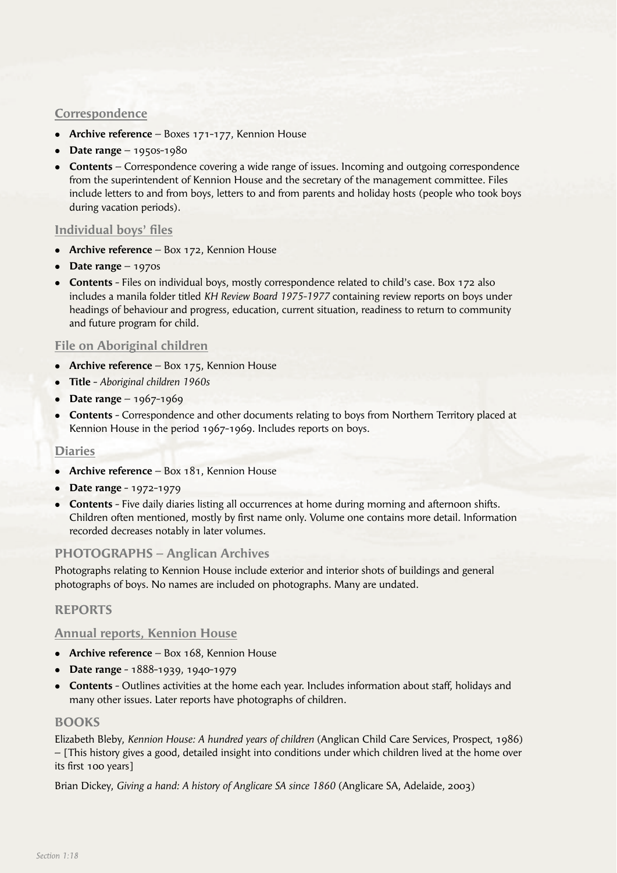## **Correspondence**

- <sup>l</sup>**Archive reference** Boxes 171-177, Kennion House
- **Date range** 1950s-1980
- **Contents** Correspondence covering a wide range of issues. Incoming and outgoing correspondence from the superintendent of Kennion House and the secretary of the management committee. Files include letters to and from boys, letters to and from parents and holiday hosts (people who took boys during vacation periods).

## **Individual boys' files**

- **Archive reference** Box 172, Kennion House
- <sup>l</sup>**Date range** 1970s
- **Contents** Files on individual boys, mostly correspondence related to child's case. Box 172 also includes a manila folder titled *KH Review Board 1975-1977* containing review reports on boys under headings of behaviour and progress, education, current situation, readiness to return to community and future program for child.

## **File on Aboriginal children**

- **Archive reference** Box 175, Kennion House
- <sup>l</sup>**Title** *Aboriginal children 1960s*
- **•** Date range 1967-1969
- **Contents** Correspondence and other documents relating to boys from Northern Territory placed at Kennion House in the period 1967-1969. Includes reports on boys.

# **Diaries**

- **Archive reference** Box 181, Kennion House
- **•** Date range 1972-1979
- **Contents** Five daily diaries listing all occurrences at home during morning and afternoon shifts. Children often mentioned, mostly by first name only. Volume one contains more detail. Information recorded decreases notably in later volumes.

## **PHOTOGRAPHS – Anglican Archives**

Photographs relating to Kennion House include exterior and interior shots of buildings and general photographs of boys. No names are included on photographs. Many are undated.

## **REPORTS**

## **Annual reports, Kennion House**

- **Archive reference** Box 168, Kennion House
- <sup>l</sup>**Date range** 1888-1939, 1940-1979
- **Contents** Outlines activities at the home each year. Includes information about staff, holidays and many other issues. Later reports have photographs of children.

## **BOOKS**

Elizabeth Bleby, *Kennion House: A hundred years of children* (Anglican Child Care Services, Prospect, 1986) – [This history gives a good, detailed insight into conditions under which children lived at the home over its first 100 years]

Brian Dickey, *Giving a hand: A history of Anglicare SA since 1860* (Anglicare SA, Adelaide, 2003)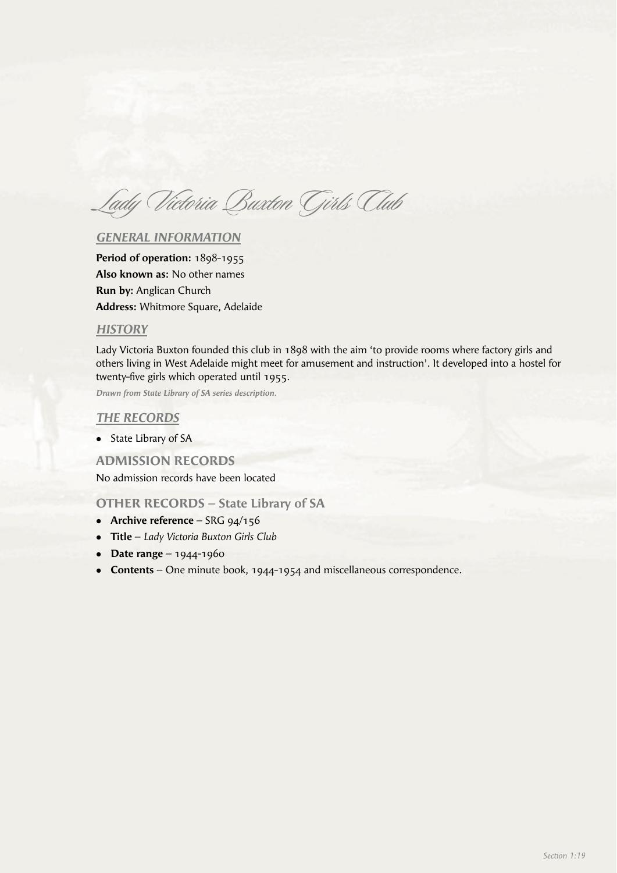Lady Victoria Buxton Girls Club

## *GENERAL INFORMATION*

**Period of operation:** 1898-1955 **Also known as:** No other names **Run by:** Anglican Church **Address:** Whitmore Square, Adelaide

#### *HISTORY*

Lady Victoria Buxton founded this club in 1898 with the aim 'to provide rooms where factory girls and others living in West Adelaide might meet for amusement and instruction'. It developed into a hostel for twenty-five girls which operated until 1955.

*Drawn from State Library of SA series description.*

#### *THE RECORDS*

• State Library of SA

#### **ADMISSION RECORDS**

No admission records have been located

#### **OTHER RECORDS – State Library of SA**

- **Archive reference** SRG 94/156
- <sup>l</sup>**Title** *Lady Victoria Buxton Girls Club*
- **•** Date range 1944-1960
- **Contents** One minute book, 1944-1954 and miscellaneous correspondence.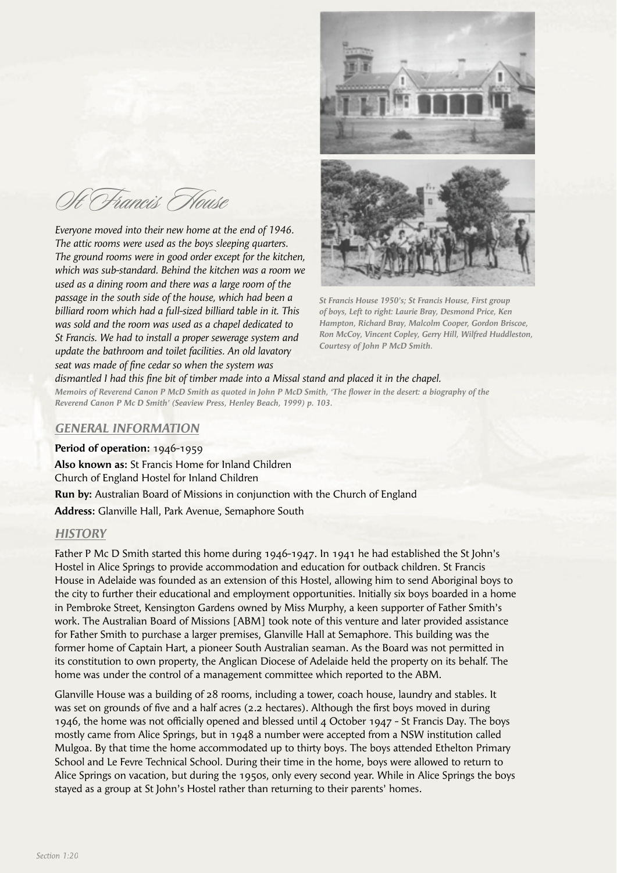Oft Francis House

*Everyone moved into their new home at the end of 1946. The attic rooms were used as the boys sleeping quarters. The ground rooms were in good order except for the kitchen, which was sub-standard. Behind the kitchen was a room we used as a dining room and there was a large room of the passage in the south side of the house, which had been a billiard room which had a full-sized billiard table in it. This was sold and the room was used as a chapel dedicated to St Francis. We had to install a proper sewerage system and update the bathroom and toilet facilities. An old lavatory seat was made of fine cedar so when the system was* 



*St Francis House 1950's; St Francis House, First group of boys, Left to right: Laurie Bray, Desmond Price, Ken Hampton, Richard Bray, Malcolm Cooper, Gordon Briscoe, Ron McCoy, Vincent Copley, Gerry Hill, Wilfred Huddleston, Courtesy of John P McD Smith.*

dismantled I had this fine bit of timber made into a Missal stand and placed it in the chapel. *Memoirs of Reverend Canon P McD Smith as quoted in John P McD Smith, 'The flower in the desert: a biography of the Reverend Canon P Mc D Smith' (Seaview Press, Henley Beach, 1999) p. 103.*

## *GENERAL INFORMATION*

#### **Period of operation:** 1946-1959

**Also known as:** St Francis Home for Inland Children Church of England Hostel for Inland Children **Run by:** Australian Board of Missions in conjunction with the Church of England **Address:** Glanville Hall, Park Avenue, Semaphore South

## *HISTORY*

Father P Mc D Smith started this home during 1946-1947. In 1941 he had established the St John's Hostel in Alice Springs to provide accommodation and education for outback children. St Francis House in Adelaide was founded as an extension of this Hostel, allowing him to send Aboriginal boys to the city to further their educational and employment opportunities. Initially six boys boarded in a home in Pembroke Street, Kensington Gardens owned by Miss Murphy, a keen supporter of Father Smith's work. The Australian Board of Missions [ABM] took note of this venture and later provided assistance for Father Smith to purchase a larger premises, Glanville Hall at Semaphore. This building was the former home of Captain Hart, a pioneer South Australian seaman. As the Board was not permitted in its constitution to own property, the Anglican Diocese of Adelaide held the property on its behalf. The home was under the control of a management committee which reported to the ABM.

Glanville House was a building of 28 rooms, including a tower, coach house, laundry and stables. It was set on grounds of five and a half acres (2.2 hectares). Although the first boys moved in during 1946, the home was not officially opened and blessed until 4 October 1947 - St Francis Day. The boys mostly came from Alice Springs, but in 1948 a number were accepted from a NSW institution called Mulgoa. By that time the home accommodated up to thirty boys. The boys attended Ethelton Primary School and Le Fevre Technical School. During their time in the home, boys were allowed to return to Alice Springs on vacation, but during the 1950s, only every second year. While in Alice Springs the boys stayed as a group at St John's Hostel rather than returning to their parents' homes.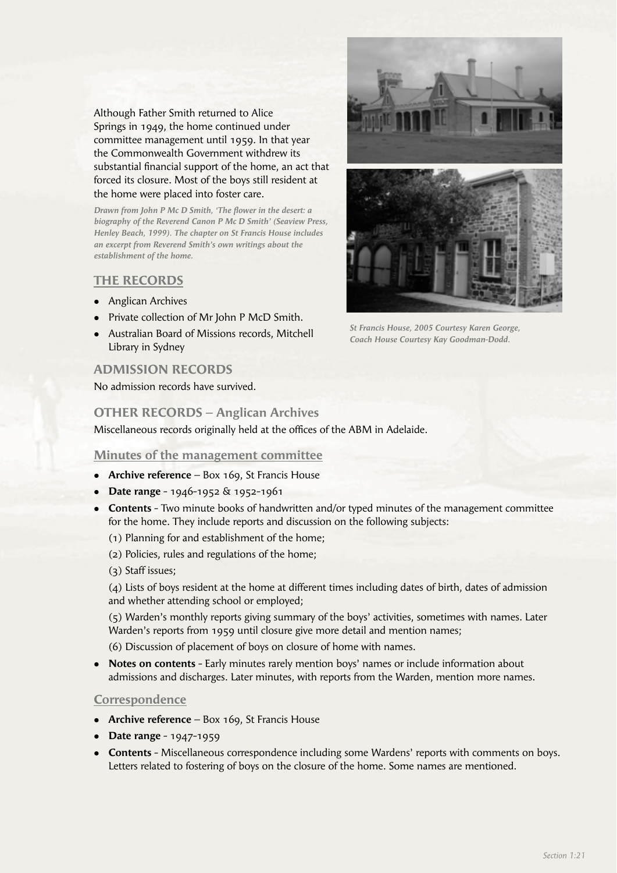Although Father Smith returned to Alice Springs in 1949, the home continued under committee management until 1959. In that year the Commonwealth Government withdrew its substantial financial support of the home, an act that forced its closure. Most of the boys still resident at the home were placed into foster care.

Drawn from John P Mc D Smith, 'The flower in the desert: a *biography of the Reverend Canon P Mc D Smith' (Seaview Press, Henley Beach, 1999). The chapter on St Francis House includes an excerpt from Reverend Smith's own writings about the establishment of the home.*

#### **THE RECORDS**

- Anglican Archives
- Private collection of Mr John P McD Smith.
- Australian Board of Missions records, Mitchell Library in Sydney

## **ADMISSION RECORDS**

No admission records have survived.

## **OTHER RECORDS – Anglican Archives**

Miscellaneous records originally held at the offices of the ABM in Adelaide.

#### **Minutes of the management committee**

- **Archive reference** Box 169, St Francis House
- **Date range** 1946-1952 & 1952-1961
- **Contents** Two minute books of handwritten and/or typed minutes of the management committee for the home. They include reports and discussion on the following subjects:
	- (1) Planning for and establishment of the home;
	- (2) Policies, rules and regulations of the home;
	- (3) Staff issues;

 (4) Lists of boys resident at the home at different times including dates of birth, dates of admission and whether attending school or employed;

 (5) Warden's monthly reports giving summary of the boys' activities, sometimes with names. Later Warden's reports from 1959 until closure give more detail and mention names;

(6) Discussion of placement of boys on closure of home with names.

**• Notes on contents** - Early minutes rarely mention boys' names or include information about admissions and discharges. Later minutes, with reports from the Warden, mention more names.

#### **Correspondence**

- **Archive reference** Box 169, St Francis House
- **•** Date range 1947-1959
- **Contents** Miscellaneous correspondence including some Wardens' reports with comments on boys. Letters related to fostering of boys on the closure of the home. Some names are mentioned.



*St Francis House, 2005 Courtesy Karen George, Coach House Courtesy Kay Goodman-Dodd.*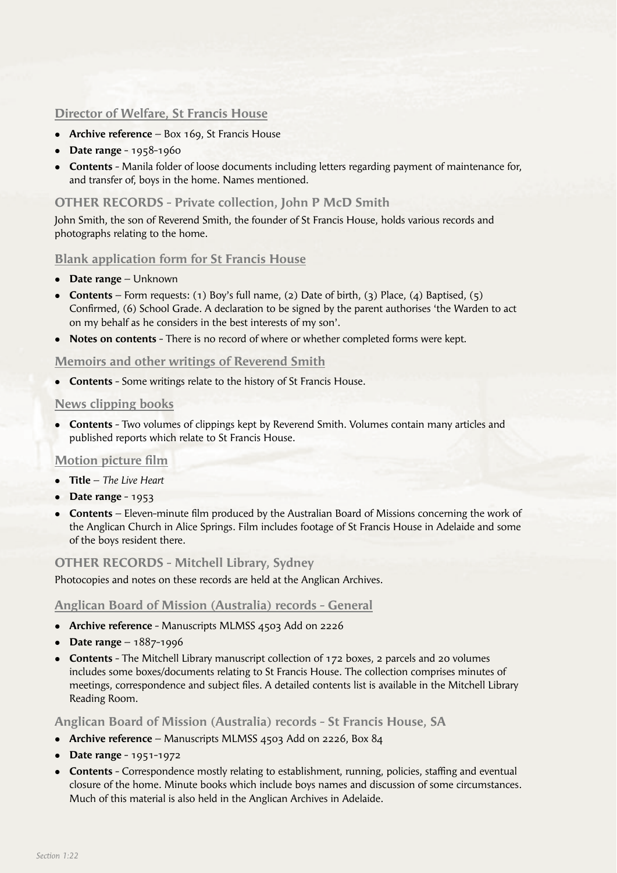# **Director of Welfare, St Francis House**

- **Archive reference** Box 169, St Francis House
- **•** Date range 1958-1960
- **Contents** Manila folder of loose documents including letters regarding payment of maintenance for, and transfer of, boys in the home. Names mentioned.

# **OTHER RECORDS - Private collection, John P McD Smith**

John Smith, the son of Reverend Smith, the founder of St Francis House, holds various records and photographs relating to the home.

## **Blank application form for St Francis House**

- **Date range** Unknown
- <sup>l</sup>**Contents** Form requests: (1) Boy's full name, (2) Date of birth, (3) Place, (4) Baptised, (5) Confirmed, (6) School Grade. A declaration to be signed by the parent authorises 'the Warden to act on my behalf as he considers in the best interests of my son'.
- **Notes on contents** There is no record of where or whether completed forms were kept.

## **Memoirs and other writings of Reverend Smith**

**Contents** - Some writings relate to the history of St Francis House.

#### **News clipping books**

**Contents** - Two volumes of clippings kept by Reverend Smith. Volumes contain many articles and published reports which relate to St Francis House.

# **Motion picture film**

- <sup>l</sup>**Title** *The Live Heart*
- **•** Date range 1953
- **Contents** Eleven-minute film produced by the Australian Board of Missions concerning the work of the Anglican Church in Alice Springs. Film includes footage of St Francis House in Adelaide and some of the boys resident there.

## **OTHER RECORDS - Mitchell Library, Sydney**

Photocopies and notes on these records are held at the Anglican Archives.

## **Anglican Board of Mission (Australia) records - General**

- **Archive reference** Manuscripts MLMSS 4503 Add on 2226
- **•** Date range 1887-1996
- **Contents** The Mitchell Library manuscript collection of 172 boxes, 2 parcels and 20 volumes includes some boxes/documents relating to St Francis House. The collection comprises minutes of meetings, correspondence and subject files. A detailed contents list is available in the Mitchell Library Reading Room.

**Anglican Board of Mission (Australia) records - St Francis House, SA** 

- <sup>l</sup>**Archive reference** Manuscripts MLMSS 4503 Add on 2226, Box 84
- **•** Date range 1951-1972
- **Contents** Correspondence mostly relating to establishment, running, policies, staffing and eventual closure of the home. Minute books which include boys names and discussion of some circumstances. Much of this material is also held in the Anglican Archives in Adelaide.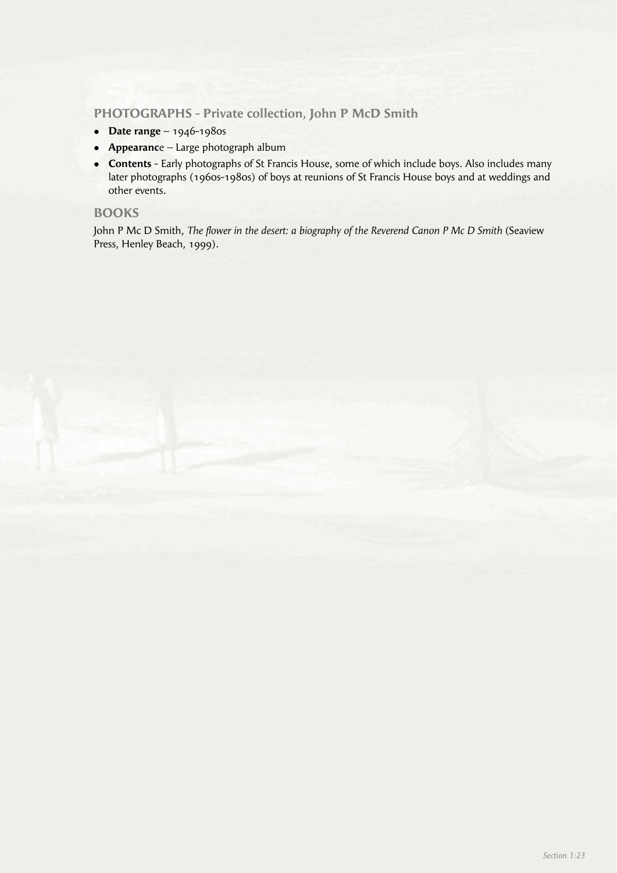## **PHOTOGRAPHS - Private collection, John P McD Smith**

- **•** Date range 1946-1980s
- **Appearance** Large photograph album
- **Contents** Early photographs of St Francis House, some of which include boys. Also includes many later photographs (1960s-1980s) of boys at reunions of St Francis House boys and at weddings and other events.

## **BOOKS**

John P Mc D Smith, *The flower in the desert: a biography of the Reverend Canon P Mc D Smith* (Seaview Press, Henley Beach, 1999).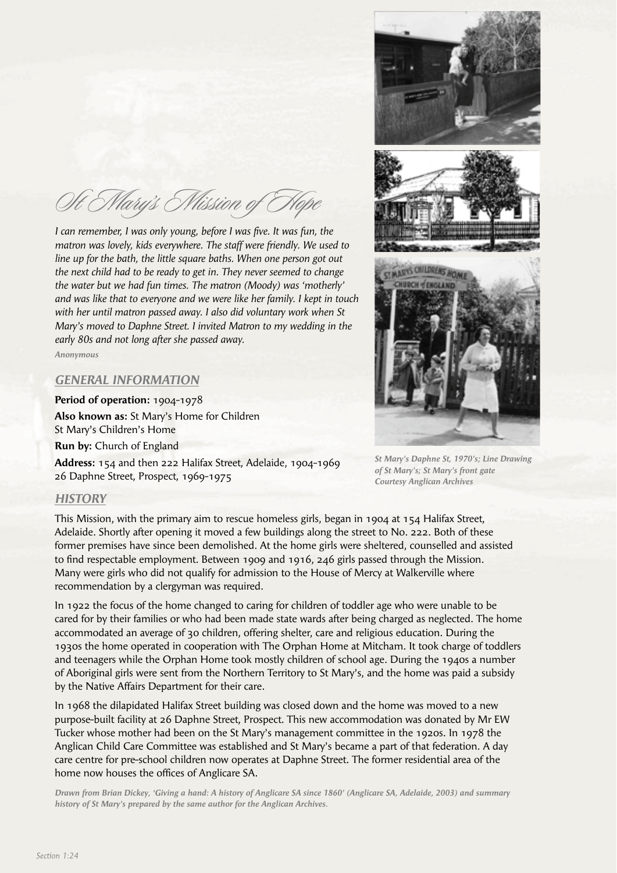St Mary's Mission of Hope

*I can remember, I was only young, before I was five. It was fun, the matron was lovely, kids everywhere. The staff were friendly. We used to line up for the bath, the little square baths. When one person got out the next child had to be ready to get in. They never seemed to change the water but we had fun times. The matron (Moody) was 'motherly' and was like that to everyone and we were like her family. I kept in touch with her until matron passed away. I also did voluntary work when St Mary's moved to Daphne Street. I invited Matron to my wedding in the early 80s and not long after she passed away.*

*Anonymous*

#### *GENERAL INFORMATION*

**Period of operation:** 1904-1978 **Also known as:** St Mary's Home for Children St Mary's Children's Home

**Run by:** Church of England

**Address:** 154 and then 222 Halifax Street, Adelaide, 1904-1969 26 Daphne Street, Prospect, 1969-1975



*St Mary's Daphne St, 1970's; Line Drawing of St Mary's; St Mary's front gate Courtesy Anglican Archives* 

#### *HISTORY*

This Mission, with the primary aim to rescue homeless girls, began in 1904 at 154 Halifax Street, Adelaide. Shortly after opening it moved a few buildings along the street to No. 222. Both of these former premises have since been demolished. At the home girls were sheltered, counselled and assisted to find respectable employment. Between 1909 and 1916, 246 girls passed through the Mission. Many were girls who did not qualify for admission to the House of Mercy at Walkerville where recommendation by a clergyman was required.

In 1922 the focus of the home changed to caring for children of toddler age who were unable to be cared for by their families or who had been made state wards after being charged as neglected. The home accommodated an average of 30 children, offering shelter, care and religious education. During the 1930s the home operated in cooperation with The Orphan Home at Mitcham. It took charge of toddlers and teenagers while the Orphan Home took mostly children of school age. During the 1940s a number of Aboriginal girls were sent from the Northern Territory to St Mary's, and the home was paid a subsidy by the Native Affairs Department for their care.

In 1968 the dilapidated Halifax Street building was closed down and the home was moved to a new purpose-built facility at 26 Daphne Street, Prospect. This new accommodation was donated by Mr EW Tucker whose mother had been on the St Mary's management committee in the 1920s. In 1978 the Anglican Child Care Committee was established and St Mary's became a part of that federation. A day care centre for pre-school children now operates at Daphne Street. The former residential area of the home now houses the offices of Anglicare SA.

*Drawn from Brian Dickey, 'Giving a hand: A history of Anglicare SA since 1860' (Anglicare SA, Adelaide, 2003) and summary history of St Mary's prepared by the same author for the Anglican Archives.*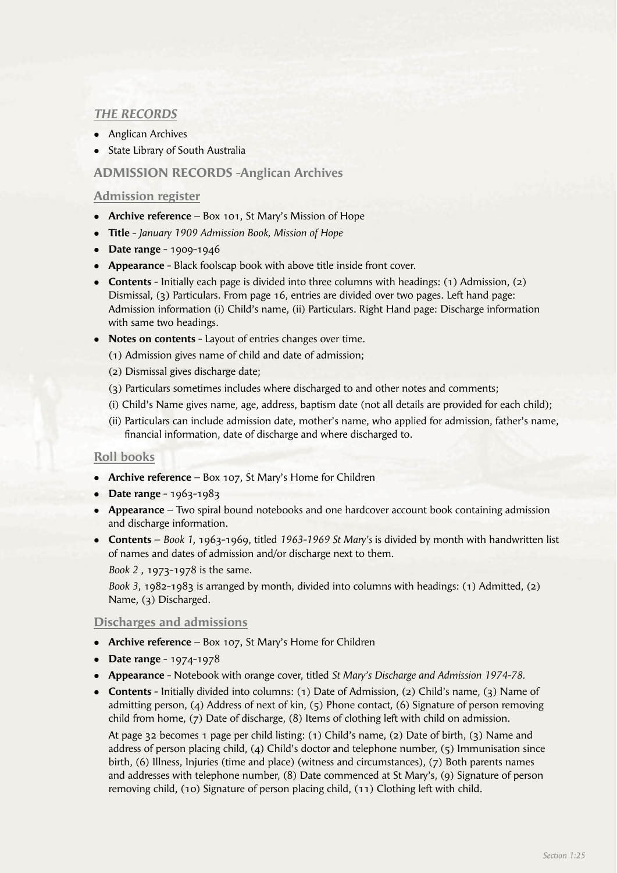# *THE RECORDS*

- Anglican Archives
- **State Library of South Australia**

## **ADMISSION RECORDS -Anglican Archives**

#### **Admission register**

- **Archive reference** Box 101, St Mary's Mission of Hope
- <sup>l</sup>**Title** *January 1909 Admission Book, Mission of Hope*
- **•** Date range 1909-1946
- **Appearance** Black foolscap book with above title inside front cover.
- **Contents** Initially each page is divided into three columns with headings: (1) Admission, (2) Dismissal, (3) Particulars. From page 16, entries are divided over two pages. Left hand page: Admission information (i) Child's name, (ii) Particulars. Right Hand page: Discharge information with same two headings.
- **Notes on contents** Layout of entries changes over time.

(1) Admission gives name of child and date of admission;

- (2) Dismissal gives discharge date;
- (3) Particulars sometimes includes where discharged to and other notes and comments;
- (i) Child's Name gives name, age, address, baptism date (not all details are provided for each child);
- (ii) Particulars can include admission date, mother's name, who applied for admission, father's name, financial information, date of discharge and where discharged to.

## **Roll books**

- **Archive reference** Box 107, St Mary's Home for Children
- **•** Date range 1963-1983
- **Appearance** Two spiral bound notebooks and one hardcover account book containing admission and discharge information.
- <sup>l</sup>**Contents** *Book 1*, 1963-1969, titled *1963-1969 St Mary's* is divided by month with handwritten list of names and dates of admission and/or discharge next to them.

*Book 2* , 1973-1978 is the same.

 *Book 3*, 1982-1983 is arranged by month, divided into columns with headings: (1) Admitted, (2) Name, (3) Discharged.

#### **Discharges and admissions**

- **Archive reference** Box 107, St Mary's Home for Children
- **•** Date range 1974-1978
- <sup>l</sup>**Appearance** Notebook with orange cover, titled *St Mary's Discharge and Admission 1974-78.*
- **Contents** Initially divided into columns: (1) Date of Admission, (2) Child's name, (3) Name of admitting person, (4) Address of next of kin, (5) Phone contact, (6) Signature of person removing child from home, (7) Date of discharge, (8) Items of clothing left with child on admission.

 At page 32 becomes 1 page per child listing: (1) Child's name, (2) Date of birth, (3) Name and address of person placing child, (4) Child's doctor and telephone number, (5) Immunisation since birth, (6) Illness, Injuries (time and place) (witness and circumstances), (7) Both parents names and addresses with telephone number, (8) Date commenced at St Mary's, (9) Signature of person removing child, (10) Signature of person placing child, (11) Clothing left with child.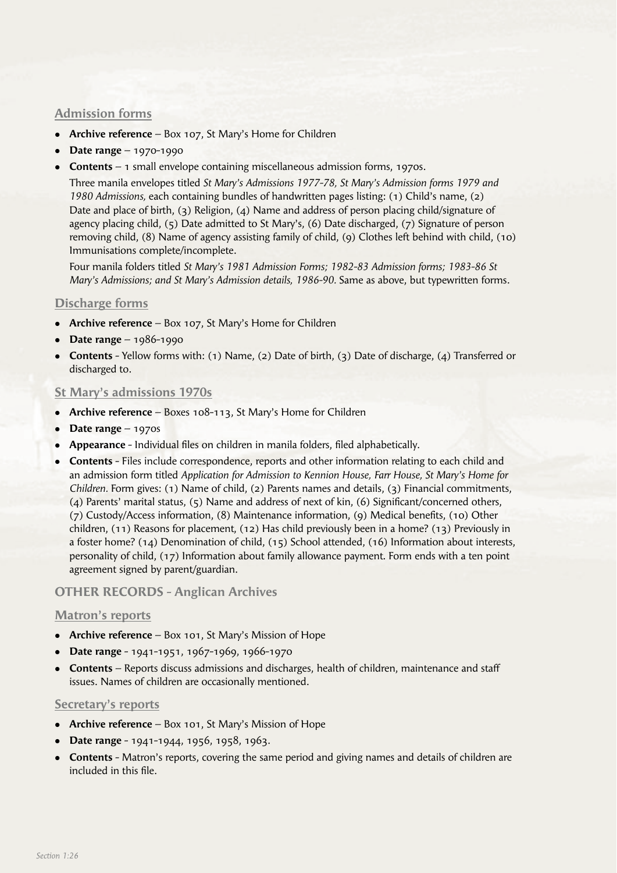# **Admission forms**

- **Archive reference** Box 107, St Mary's Home for Children
- <sup>l</sup>**Date range** 1970-1990
- **Contents** 1 small envelope containing miscellaneous admission forms, 1970s.

 Three manila envelopes titled *St Mary's Admissions 1977-78, St Mary's Admission forms 1979 and 1980 Admissions,* each containing bundles of handwritten pages listing: (1) Child's name, (2) Date and place of birth, (3) Religion, (4) Name and address of person placing child/signature of agency placing child, (5) Date admitted to St Mary's, (6) Date discharged, (7) Signature of person removing child, (8) Name of agency assisting family of child, (9) Clothes left behind with child, (10) Immunisations complete/incomplete.

 Four manila folders titled *St Mary's 1981 Admission Forms; 1982-83 Admission forms; 1983-86 St Mary's Admissions; and St Mary's Admission details, 1986-90.* Same as above, but typewritten forms.

## **Discharge forms**

- **Archive reference** Box 107, St Mary's Home for Children
- **•** Date range 1986-1990
- **Contents** Yellow forms with: (1) Name, (2) Date of birth, (3) Date of discharge, (4) Transferred or discharged to.

## **St Mary's admissions 1970s**

- **Archive reference** Boxes 108-113, St Mary's Home for Children
- **•** Date range 1970s
- **Appearance** Individual files on children in manila folders, filed alphabetically.
- **Contents** Files include correspondence, reports and other information relating to each child and an admission form titled *Application for Admission to Kennion House, Farr House, St Mary's Home for Children.* Form gives: (1) Name of child, (2) Parents names and details, (3) Financial commitments, (4) Parents' marital status,  $(5)$  Name and address of next of kin,  $(6)$  Significant/concerned others, (7) Custody/Access information, (8) Maintenance information, (9) Medical benefits, (10) Other children, (11) Reasons for placement, (12) Has child previously been in a home? (13) Previously in a foster home? (14) Denomination of child, (15) School attended, (16) Information about interests, personality of child, (17) Information about family allowance payment. Form ends with a ten point agreement signed by parent/guardian.

## **OTHER RECORDS - Anglican Archives**

## **Matron's reports**

- **Archive reference** Box 101, St Mary's Mission of Hope
- <sup>l</sup>**Date range** 1941-1951, 1967-1969, 1966-1970
- **Contents** Reports discuss admissions and discharges, health of children, maintenance and staff issues. Names of children are occasionally mentioned.

#### **Secretary's reports**

- **Archive reference** Box 101, St Mary's Mission of Hope
- **Date range** 1941-1944, 1956, 1958, 1963.
- **Contents** Matron's reports, covering the same period and giving names and details of children are included in this file.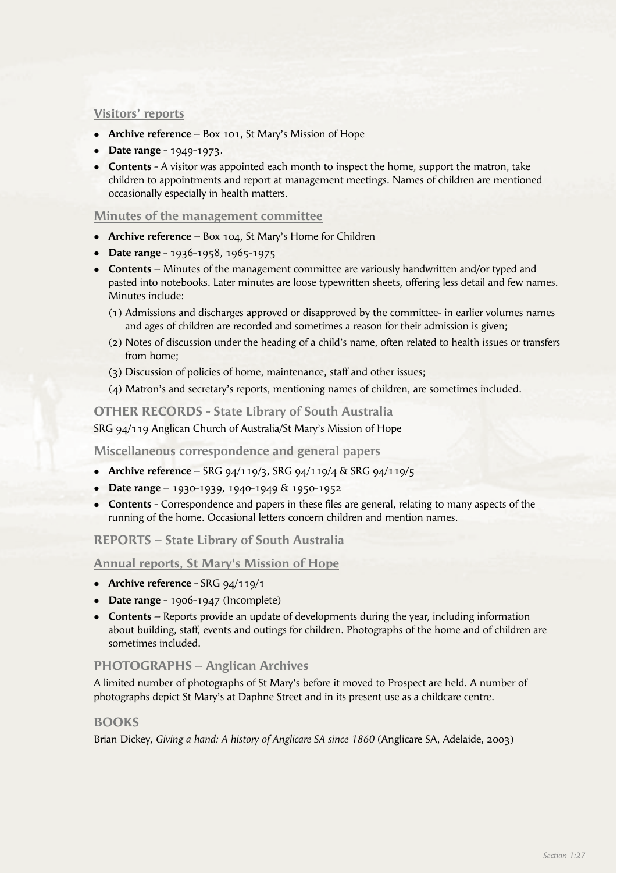#### **Visitors' reports**

- **Archive reference** Box 101, St Mary's Mission of Hope
- **•** Date range 1949-1973.
- **Contents** A visitor was appointed each month to inspect the home, support the matron, take children to appointments and report at management meetings. Names of children are mentioned occasionally especially in health matters.

#### **Minutes of the management committee**

- **Archive reference** Box 104, St Mary's Home for Children
- **Date range** 1936-1958, 1965-1975
- **Contents** Minutes of the management committee are variously handwritten and/or typed and pasted into notebooks. Later minutes are loose typewritten sheets, offering less detail and few names. Minutes include:
	- (1) Admissions and discharges approved or disapproved by the committee- in earlier volumes names and ages of children are recorded and sometimes a reason for their admission is given;
	- (2) Notes of discussion under the heading of a child's name, often related to health issues or transfers from home;
	- (3) Discussion of policies of home, maintenance, staff and other issues;
	- (4) Matron's and secretary's reports, mentioning names of children, are sometimes included.

#### **OTHER RECORDS - State Library of South Australia**

SRG 94/119 Anglican Church of Australia/St Mary's Mission of Hope

#### **Miscellaneous correspondence and general papers**

- <sup>l</sup>**Archive reference** SRG 94/119/3, SRG 94/119/4 & SRG 94/119/5
- <sup>l</sup>**Date range** 1930-1939, 1940-1949 & 1950-1952
- **Contents** Correspondence and papers in these files are general, relating to many aspects of the running of the home. Occasional letters concern children and mention names.

**REPORTS – State Library of South Australia**

**Annual reports, St Mary's Mission of Hope**

- **•** Archive reference SRG 94/119/1
- **•** Date range 1906-1947 (Incomplete)
- **Contents** Reports provide an update of developments during the year, including information about building, staff, events and outings for children. Photographs of the home and of children are sometimes included.

## **PHOTOGRAPHS – Anglican Archives**

A limited number of photographs of St Mary's before it moved to Prospect are held. A number of photographs depict St Mary's at Daphne Street and in its present use as a childcare centre.

#### **BOOKS**

Brian Dickey, *Giving a hand: A history of Anglicare SA since 1860* (Anglicare SA, Adelaide, 2003)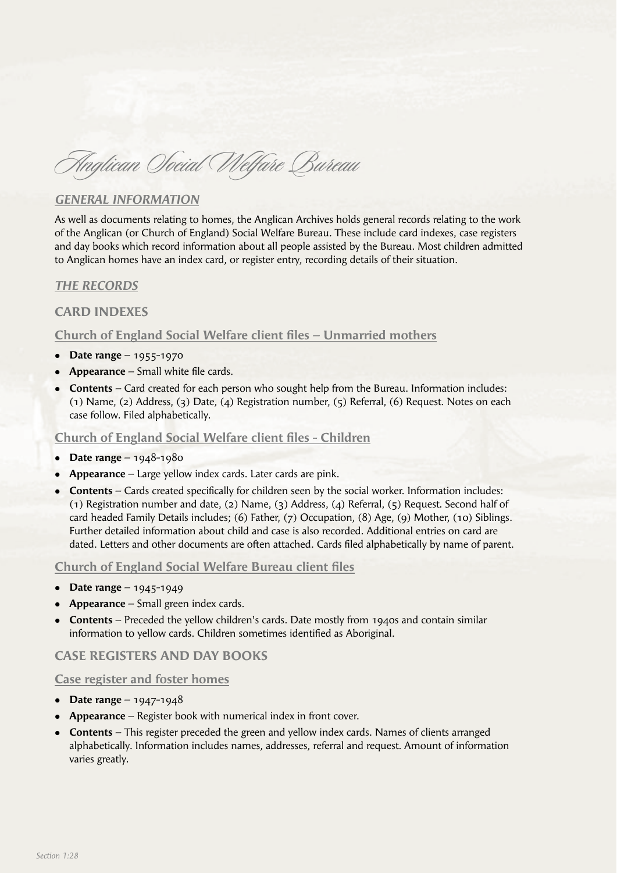Anglican Social Welfare Bureau

# *GENERAL INFORMATION*

As well as documents relating to homes, the Anglican Archives holds general records relating to the work of the Anglican (or Church of England) Social Welfare Bureau. These include card indexes, case registers and day books which record information about all people assisted by the Bureau. Most children admitted to Anglican homes have an index card, or register entry, recording details of their situation.

## *THE RECORDS*

## **CARD INDEXES**

## **Church of England Social Welfare client files – Unmarried mothers**

- **•** Date range 1955-1970
- **Appearance** Small white file cards.
- **Contents** Card created for each person who sought help from the Bureau. Information includes: (1) Name, (2) Address, (3) Date, (4) Registration number, (5) Referral, (6) Request. Notes on each case follow. Filed alphabetically.

#### **Church of England Social Welfare client files - Children**

- **•** Date range 1948-1980
- **Appearance** Large yellow index cards. Later cards are pink.
- **Contents** Cards created specifically for children seen by the social worker. Information includes: (1) Registration number and date, (2) Name, (3) Address, (4) Referral, (5) Request. Second half of card headed Family Details includes; (6) Father, (7) Occupation, (8) Age, (9) Mother, (10) Siblings. Further detailed information about child and case is also recorded. Additional entries on card are dated. Letters and other documents are often attached. Cards filed alphabetically by name of parent.

#### **Church of England Social Welfare Bureau client files**

- **•** Date range 1945-1949
- **Appearance** Small green index cards.
- **Contents** Preceded the yellow children's cards. Date mostly from 1940s and contain similar information to yellow cards. Children sometimes identified as Aboriginal.

## **CASE REGISTERS AND DAY BOOKS**

#### **Case register and foster homes**

- **•** Date range 1947-1948
- **Appearance** Register book with numerical index in front cover.
- **Contents** This register preceded the green and yellow index cards. Names of clients arranged alphabetically. Information includes names, addresses, referral and request. Amount of information varies greatly.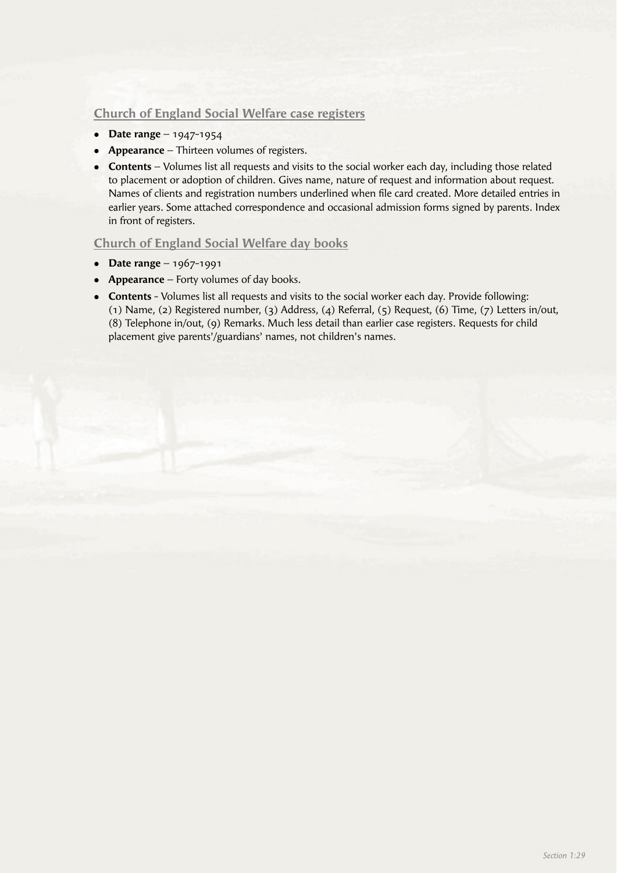# **Church of England Social Welfare case registers**

- **•** Date range 1947-1954
- **Appearance** Thirteen volumes of registers.
- **Contents** Volumes list all requests and visits to the social worker each day, including those related to placement or adoption of children. Gives name, nature of request and information about request. Names of clients and registration numbers underlined when file card created. More detailed entries in earlier years. Some attached correspondence and occasional admission forms signed by parents. Index in front of registers.

## **Church of England Social Welfare day books**

- <sup>l</sup>**Date range** 1967-1991
- **Appearance** Forty volumes of day books.
- **Contents** Volumes list all requests and visits to the social worker each day. Provide following: (1) Name, (2) Registered number, (3) Address, (4) Referral, (5) Request, (6) Time, (7) Letters in/out, (8) Telephone in/out, (9) Remarks. Much less detail than earlier case registers. Requests for child placement give parents'/guardians' names, not children's names.